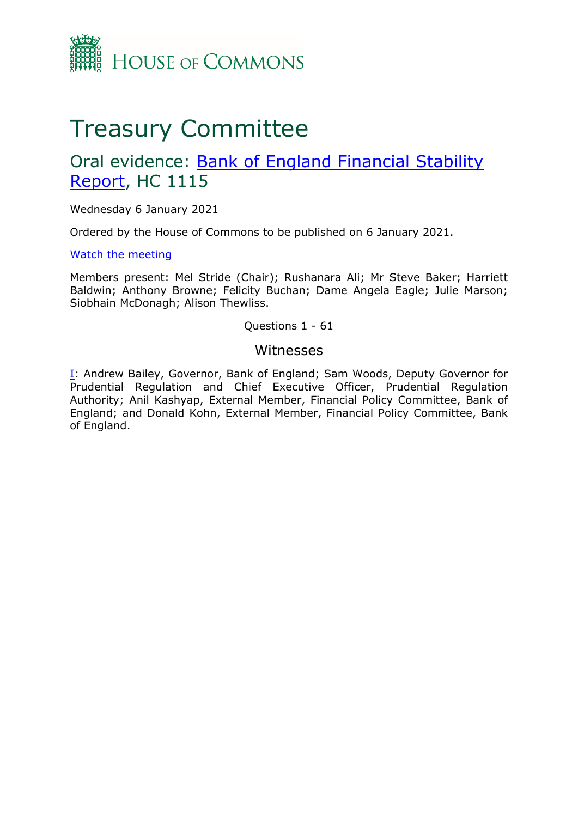

# Treasury Committee

## Oral evidence: [Bank](https://committees.parliament.uk/work/923/bank-of-england-financial-stability-report/) [of](https://committees.parliament.uk/work/923/bank-of-england-financial-stability-report/) [England](https://committees.parliament.uk/work/923/bank-of-england-financial-stability-report/) [Financial](https://committees.parliament.uk/work/923/bank-of-england-financial-stability-report/) [Stability](https://committees.parliament.uk/work/923/bank-of-england-financial-stability-report/) [Report,](https://committees.parliament.uk/work/923/bank-of-england-financial-stability-report/) HC 1115

Wednesday 6 January 2021

Ordered by the House of Commons to be published on 6 January 2021.

[Watch](https://www.parliamentlive.tv/Event/Index/30ec6304-dc0f-4bd5-9a52-80c149b09761) [the](https://www.parliamentlive.tv/Event/Index/30ec6304-dc0f-4bd5-9a52-80c149b09761) [meeting](https://www.parliamentlive.tv/Event/Index/30ec6304-dc0f-4bd5-9a52-80c149b09761)

Members present: Mel Stride (Chair); Rushanara Ali; Mr Steve Baker; Harriett Baldwin; Anthony Browne; Felicity Buchan; Dame Angela Eagle; Julie Marson; Siobhain McDonagh; Alison Thewliss.

## Questions 1 - 61

## Witnesses

[I:](#page-1-0) Andrew Bailey, Governor, Bank of England; Sam Woods, Deputy Governor for Prudential Regulation and Chief Executive Officer, Prudential Regulation Authority; Anil Kashyap, External Member, Financial Policy Committee, Bank of England; and Donald Kohn, External Member, Financial Policy Committee, Bank of England.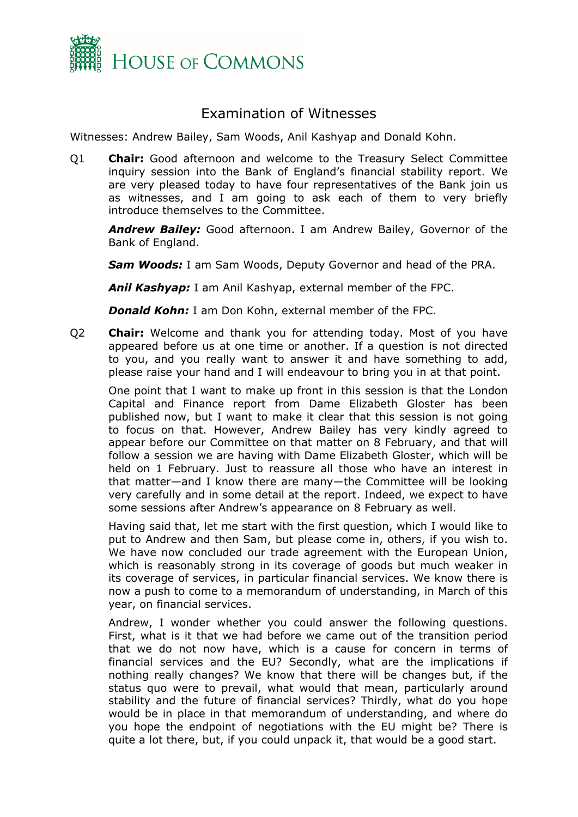

## <span id="page-1-0"></span>Examination of Witnesses

Witnesses: Andrew Bailey, Sam Woods, Anil Kashyap and Donald Kohn.

Q1 **Chair:** Good afternoon and welcome to the Treasury Select Committee inquiry session into the Bank of England's financial stability report. We are very pleased today to have four representatives of the Bank join us as witnesses, and I am going to ask each of them to very briefly introduce themselves to the Committee.

*Andrew Bailey:* Good afternoon. I am Andrew Bailey, Governor of the Bank of England.

*Sam Woods:* I am Sam Woods, Deputy Governor and head of the PRA.

*Anil Kashyap:* I am Anil Kashyap, external member of the FPC.

*Donald Kohn:* I am Don Kohn, external member of the FPC.

Q2 **Chair:** Welcome and thank you for attending today. Most of you have appeared before us at one time or another. If a question is not directed to you, and you really want to answer it and have something to add, please raise your hand and I will endeavour to bring you in at that point.

One point that I want to make up front in this session is that the London Capital and Finance report from Dame Elizabeth Gloster has been published now, but I want to make it clear that this session is not going to focus on that. However, Andrew Bailey has very kindly agreed to appear before our Committee on that matter on 8 February, and that will follow a session we are having with Dame Elizabeth Gloster, which will be held on 1 February. Just to reassure all those who have an interest in that matter—and I know there are many—the Committee will be looking very carefully and in some detail at the report. Indeed, we expect to have some sessions after Andrew's appearance on 8 February as well.

Having said that, let me start with the first question, which I would like to put to Andrew and then Sam, but please come in, others, if you wish to. We have now concluded our trade agreement with the European Union, which is reasonably strong in its coverage of goods but much weaker in its coverage of services, in particular financial services. We know there is now a push to come to a memorandum of understanding, in March of this year, on financial services.

Andrew, I wonder whether you could answer the following questions. First, what is it that we had before we came out of the transition period that we do not now have, which is a cause for concern in terms of financial services and the EU? Secondly, what are the implications if nothing really changes? We know that there will be changes but, if the status quo were to prevail, what would that mean, particularly around stability and the future of financial services? Thirdly, what do you hope would be in place in that memorandum of understanding, and where do you hope the endpoint of negotiations with the EU might be? There is quite a lot there, but, if you could unpack it, that would be a good start.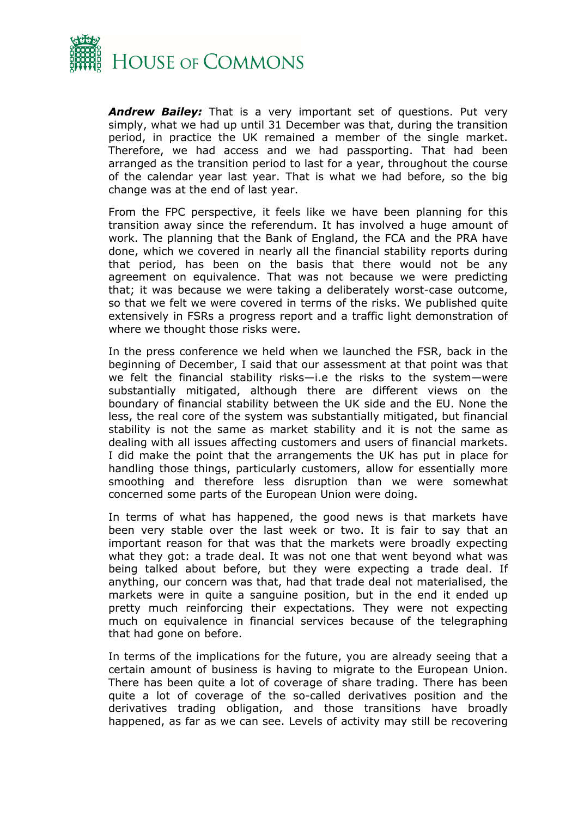

*Andrew Bailey:* That is a very important set of questions. Put very simply, what we had up until 31 December was that, during the transition period, in practice the UK remained a member of the single market. Therefore, we had access and we had passporting. That had been arranged as the transition period to last for a year, throughout the course of the calendar year last year. That is what we had before, so the big change was at the end of last year.

From the FPC perspective, it feels like we have been planning for this transition away since the referendum. It has involved a huge amount of work. The planning that the Bank of England, the FCA and the PRA have done, which we covered in nearly all the financial stability reports during that period, has been on the basis that there would not be any agreement on equivalence. That was not because we were predicting that; it was because we were taking a deliberately worst-case outcome, so that we felt we were covered in terms of the risks. We published quite extensively in FSRs a progress report and a traffic light demonstration of where we thought those risks were.

In the press conference we held when we launched the FSR, back in the beginning of December, I said that our assessment at that point was that we felt the financial stability risks—i.e the risks to the system—were substantially mitigated, although there are different views on the boundary of financial stability between the UK side and the EU. None the less, the real core of the system was substantially mitigated, but financial stability is not the same as market stability and it is not the same as dealing with all issues affecting customers and users of financial markets. I did make the point that the arrangements the UK has put in place for handling those things, particularly customers, allow for essentially more smoothing and therefore less disruption than we were somewhat concerned some parts of the European Union were doing.

In terms of what has happened, the good news is that markets have been very stable over the last week or two. It is fair to say that an important reason for that was that the markets were broadly expecting what they got: a trade deal. It was not one that went beyond what was being talked about before, but they were expecting a trade deal. If anything, our concern was that, had that trade deal not materialised, the markets were in quite a sanguine position, but in the end it ended up pretty much reinforcing their expectations. They were not expecting much on equivalence in financial services because of the telegraphing that had gone on before.

In terms of the implications for the future, you are already seeing that a certain amount of business is having to migrate to the European Union. There has been quite a lot of coverage of share trading. There has been quite a lot of coverage of the so-called derivatives position and the derivatives trading obligation, and those transitions have broadly happened, as far as we can see. Levels of activity may still be recovering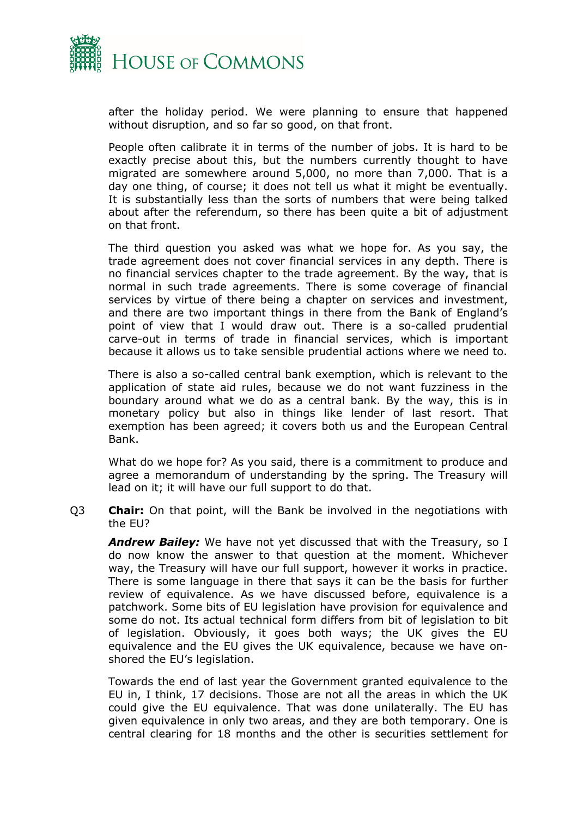

after the holiday period. We were planning to ensure that happened without disruption, and so far so good, on that front.

People often calibrate it in terms of the number of jobs. It is hard to be exactly precise about this, but the numbers currently thought to have migrated are somewhere around 5,000, no more than 7,000. That is a day one thing, of course; it does not tell us what it might be eventually. It is substantially less than the sorts of numbers that were being talked about after the referendum, so there has been quite a bit of adjustment on that front.

The third question you asked was what we hope for. As you say, the trade agreement does not cover financial services in any depth. There is no financial services chapter to the trade agreement. By the way, that is normal in such trade agreements. There is some coverage of financial services by virtue of there being a chapter on services and investment, and there are two important things in there from the Bank of England's point of view that I would draw out. There is a so-called prudential carve-out in terms of trade in financial services, which is important because it allows us to take sensible prudential actions where we need to.

There is also a so-called central bank exemption, which is relevant to the application of state aid rules, because we do not want fuzziness in the boundary around what we do as a central bank. By the way, this is in monetary policy but also in things like lender of last resort. That exemption has been agreed; it covers both us and the European Central Bank.

What do we hope for? As you said, there is a commitment to produce and agree a memorandum of understanding by the spring. The Treasury will lead on it; it will have our full support to do that.

Q3 **Chair:** On that point, will the Bank be involved in the negotiations with the EU?

*Andrew Bailey:* We have not yet discussed that with the Treasury, so I do now know the answer to that question at the moment. Whichever way, the Treasury will have our full support, however it works in practice. There is some language in there that says it can be the basis for further review of equivalence. As we have discussed before, equivalence is a patchwork. Some bits of EU legislation have provision for equivalence and some do not. Its actual technical form differs from bit of legislation to bit of legislation. Obviously, it goes both ways; the UK gives the EU equivalence and the EU gives the UK equivalence, because we have onshored the EU's legislation.

Towards the end of last year the Government granted equivalence to the EU in, I think, 17 decisions. Those are not all the areas in which the UK could give the EU equivalence. That was done unilaterally. The EU has given equivalence in only two areas, and they are both temporary. One is central clearing for 18 months and the other is securities settlement for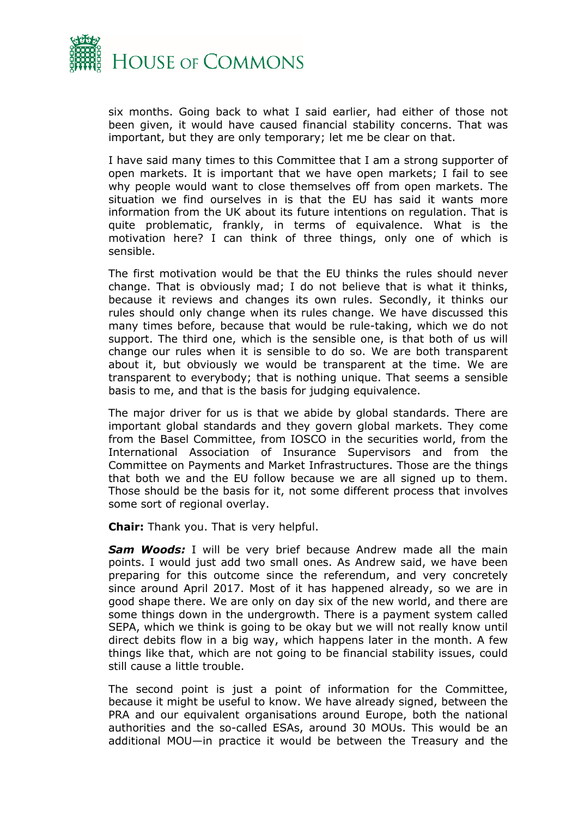

six months. Going back to what I said earlier, had either of those not been given, it would have caused financial stability concerns. That was important, but they are only temporary; let me be clear on that.

I have said many times to this Committee that I am a strong supporter of open markets. It is important that we have open markets; I fail to see why people would want to close themselves off from open markets. The situation we find ourselves in is that the EU has said it wants more information from the UK about its future intentions on regulation. That is quite problematic, frankly, in terms of equivalence. What is the motivation here? I can think of three things, only one of which is sensible.

The first motivation would be that the EU thinks the rules should never change. That is obviously mad; I do not believe that is what it thinks, because it reviews and changes its own rules. Secondly, it thinks our rules should only change when its rules change. We have discussed this many times before, because that would be rule-taking, which we do not support. The third one, which is the sensible one, is that both of us will change our rules when it is sensible to do so. We are both transparent about it, but obviously we would be transparent at the time. We are transparent to everybody; that is nothing unique. That seems a sensible basis to me, and that is the basis for judging equivalence.

The major driver for us is that we abide by global standards. There are important global standards and they govern global markets. They come from the Basel Committee, from IOSCO in the securities world, from the International Association of Insurance Supervisors and from the Committee on Payments and Market Infrastructures. Those are the things that both we and the EU follow because we are all signed up to them. Those should be the basis for it, not some different process that involves some sort of regional overlay.

**Chair:** Thank you. That is very helpful.

*Sam Woods:* I will be very brief because Andrew made all the main points. I would just add two small ones. As Andrew said, we have been preparing for this outcome since the referendum, and very concretely since around April 2017. Most of it has happened already, so we are in good shape there. We are only on day six of the new world, and there are some things down in the undergrowth. There is a payment system called SEPA, which we think is going to be okay but we will not really know until direct debits flow in a big way, which happens later in the month. A few things like that, which are not going to be financial stability issues, could still cause a little trouble.

The second point is just a point of information for the Committee, because it might be useful to know. We have already signed, between the PRA and our equivalent organisations around Europe, both the national authorities and the so-called ESAs, around 30 MOUs. This would be an additional MOU—in practice it would be between the Treasury and the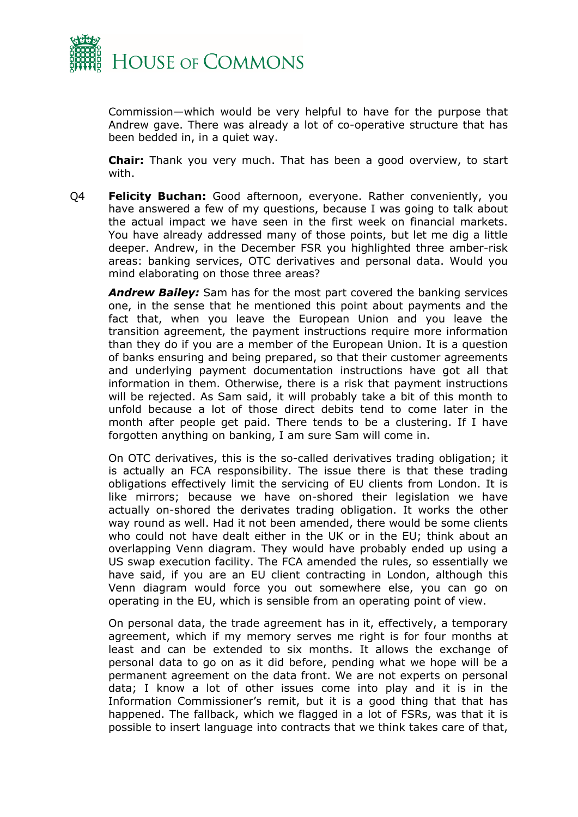

Commission—which would be very helpful to have for the purpose that Andrew gave. There was already a lot of co-operative structure that has been bedded in, in a quiet way.

**Chair:** Thank you very much. That has been a good overview, to start with.

Q4 **Felicity Buchan:** Good afternoon, everyone. Rather conveniently, you have answered a few of my questions, because I was going to talk about the actual impact we have seen in the first week on financial markets. You have already addressed many of those points, but let me dig a little deeper. Andrew, in the December FSR you highlighted three amber-risk areas: banking services, OTC derivatives and personal data. Would you mind elaborating on those three areas?

*Andrew Bailey:* Sam has for the most part covered the banking services one, in the sense that he mentioned this point about payments and the fact that, when you leave the European Union and you leave the transition agreement, the payment instructions require more information than they do if you are a member of the European Union. It is a question of banks ensuring and being prepared, so that their customer agreements and underlying payment documentation instructions have got all that information in them. Otherwise, there is a risk that payment instructions will be rejected. As Sam said, it will probably take a bit of this month to unfold because a lot of those direct debits tend to come later in the month after people get paid. There tends to be a clustering. If I have forgotten anything on banking, I am sure Sam will come in.

On OTC derivatives, this is the so-called derivatives trading obligation; it is actually an FCA responsibility. The issue there is that these trading obligations effectively limit the servicing of EU clients from London. It is like mirrors; because we have on-shored their legislation we have actually on-shored the derivates trading obligation. It works the other way round as well. Had it not been amended, there would be some clients who could not have dealt either in the UK or in the EU; think about an overlapping Venn diagram. They would have probably ended up using a US swap execution facility. The FCA amended the rules, so essentially we have said, if you are an EU client contracting in London, although this Venn diagram would force you out somewhere else, you can go on operating in the EU, which is sensible from an operating point of view.

On personal data, the trade agreement has in it, effectively, a temporary agreement, which if my memory serves me right is for four months at least and can be extended to six months. It allows the exchange of personal data to go on as it did before, pending what we hope will be a permanent agreement on the data front. We are not experts on personal data; I know a lot of other issues come into play and it is in the Information Commissioner's remit, but it is a good thing that that has happened. The fallback, which we flagged in a lot of FSRs, was that it is possible to insert language into contracts that we think takes care of that,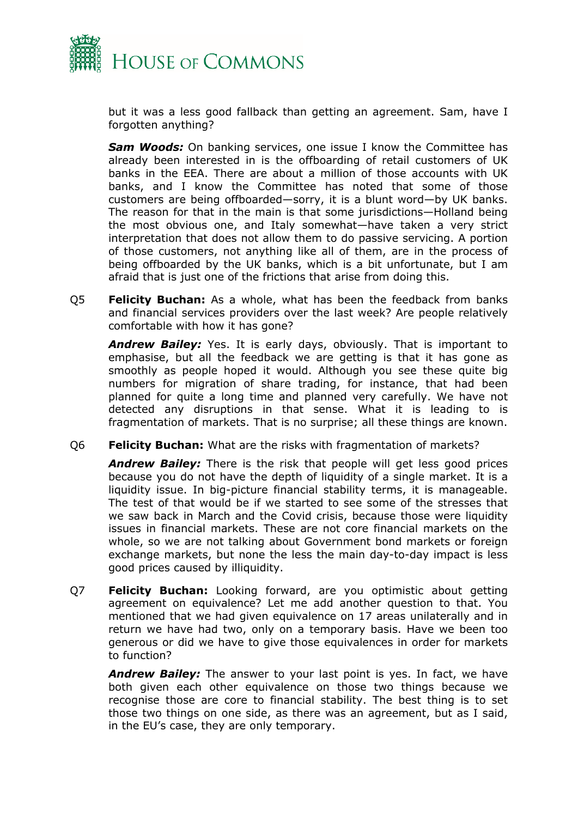

but it was a less good fallback than getting an agreement. Sam, have I forgotten anything?

**Sam Woods:** On banking services, one issue I know the Committee has already been interested in is the offboarding of retail customers of UK banks in the EEA. There are about a million of those accounts with UK banks, and I know the Committee has noted that some of those customers are being offboarded—sorry, it is a blunt word—by UK banks. The reason for that in the main is that some jurisdictions—Holland being the most obvious one, and Italy somewhat—have taken a very strict interpretation that does not allow them to do passive servicing. A portion of those customers, not anything like all of them, are in the process of being offboarded by the UK banks, which is a bit unfortunate, but I am afraid that is just one of the frictions that arise from doing this.

Q5 **Felicity Buchan:** As a whole, what has been the feedback from banks and financial services providers over the last week? Are people relatively comfortable with how it has gone?

*Andrew Bailey:* Yes. It is early days, obviously. That is important to emphasise, but all the feedback we are getting is that it has gone as smoothly as people hoped it would. Although you see these quite big numbers for migration of share trading, for instance, that had been planned for quite a long time and planned very carefully. We have not detected any disruptions in that sense. What it is leading to is fragmentation of markets. That is no surprise; all these things are known.

Q6 **Felicity Buchan:** What are the risks with fragmentation of markets?

*Andrew Bailey:* There is the risk that people will get less good prices because you do not have the depth of liquidity of a single market. It is a liquidity issue. In big-picture financial stability terms, it is manageable. The test of that would be if we started to see some of the stresses that we saw back in March and the Covid crisis, because those were liquidity issues in financial markets. These are not core financial markets on the whole, so we are not talking about Government bond markets or foreign exchange markets, but none the less the main day-to-day impact is less good prices caused by illiquidity.

Q7 **Felicity Buchan:** Looking forward, are you optimistic about getting agreement on equivalence? Let me add another question to that. You mentioned that we had given equivalence on 17 areas unilaterally and in return we have had two, only on a temporary basis. Have we been too generous or did we have to give those equivalences in order for markets to function?

*Andrew Bailey:* The answer to your last point is yes. In fact, we have both given each other equivalence on those two things because we recognise those are core to financial stability. The best thing is to set those two things on one side, as there was an agreement, but as I said, in the EU's case, they are only temporary.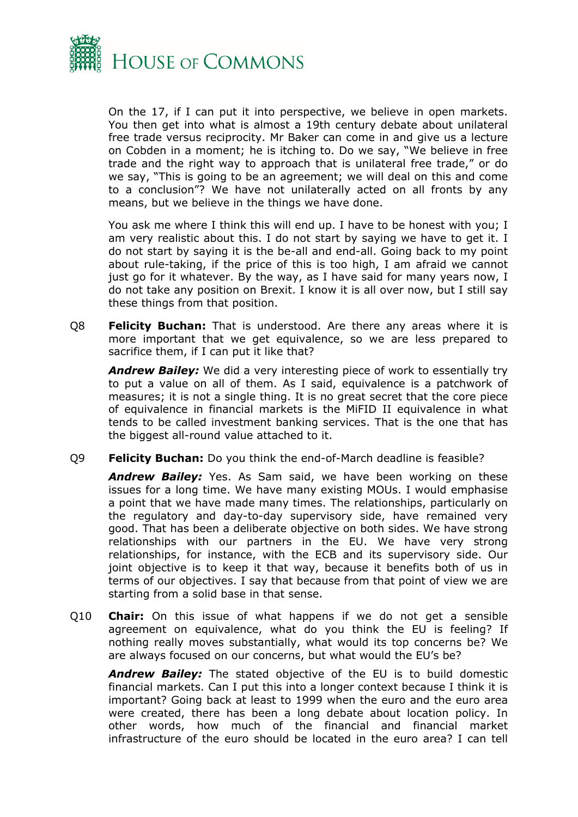

On the 17, if I can put it into perspective, we believe in open markets. You then get into what is almost a 19th century debate about unilateral free trade versus reciprocity. Mr Baker can come in and give us a lecture on Cobden in a moment; he is itching to. Do we say, "We believe in free trade and the right way to approach that is unilateral free trade," or do we say, "This is going to be an agreement; we will deal on this and come to a conclusion"? We have not unilaterally acted on all fronts by any means, but we believe in the things we have done.

You ask me where I think this will end up. I have to be honest with you; I am very realistic about this. I do not start by saying we have to get it. I do not start by saying it is the be-all and end-all. Going back to my point about rule-taking, if the price of this is too high, I am afraid we cannot just go for it whatever. By the way, as I have said for many years now, I do not take any position on Brexit. I know it is all over now, but I still say these things from that position.

Q8 **Felicity Buchan:** That is understood. Are there any areas where it is more important that we get equivalence, so we are less prepared to sacrifice them, if I can put it like that?

*Andrew Bailey:* We did a very interesting piece of work to essentially try to put a value on all of them. As I said, equivalence is a patchwork of measures; it is not a single thing. It is no great secret that the core piece of equivalence in financial markets is the MiFID II equivalence in what tends to be called investment banking services. That is the one that has the biggest all-round value attached to it.

Q9 **Felicity Buchan:** Do you think the end-of-March deadline is feasible?

*Andrew Bailey:* Yes. As Sam said, we have been working on these issues for a long time. We have many existing MOUs. I would emphasise a point that we have made many times. The relationships, particularly on the regulatory and day-to-day supervisory side, have remained very good. That has been a deliberate objective on both sides. We have strong relationships with our partners in the EU. We have very strong relationships, for instance, with the ECB and its supervisory side. Our joint objective is to keep it that way, because it benefits both of us in terms of our objectives. I say that because from that point of view we are starting from a solid base in that sense.

Q10 **Chair:** On this issue of what happens if we do not get a sensible agreement on equivalence, what do you think the EU is feeling? If nothing really moves substantially, what would its top concerns be? We are always focused on our concerns, but what would the EU's be?

*Andrew Bailey:* The stated objective of the EU is to build domestic financial markets. Can I put this into a longer context because I think it is important? Going back at least to 1999 when the euro and the euro area were created, there has been a long debate about location policy. In other words, how much of the financial and financial market infrastructure of the euro should be located in the euro area? I can tell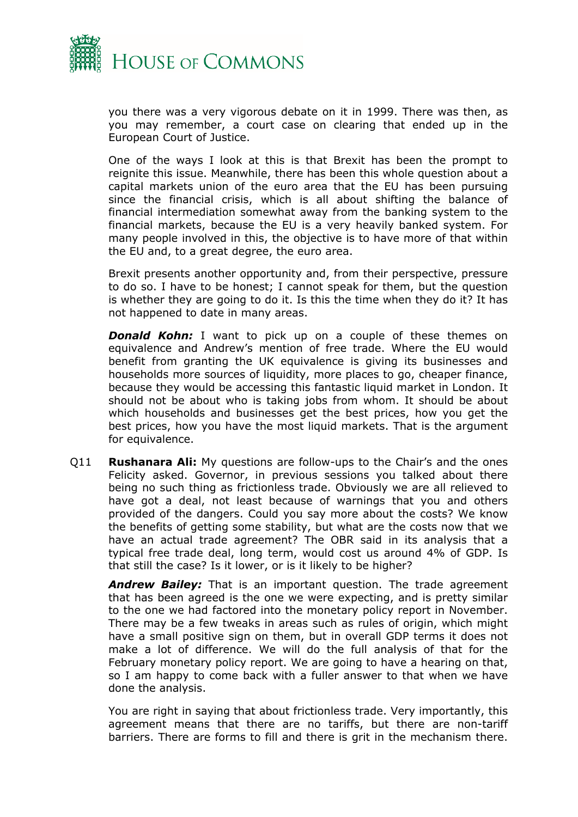

you there was a very vigorous debate on it in 1999. There was then, as you may remember, a court case on clearing that ended up in the European Court of Justice.

One of the ways I look at this is that Brexit has been the prompt to reignite this issue. Meanwhile, there has been this whole question about a capital markets union of the euro area that the EU has been pursuing since the financial crisis, which is all about shifting the balance of financial intermediation somewhat away from the banking system to the financial markets, because the EU is a very heavily banked system. For many people involved in this, the objective is to have more of that within the EU and, to a great degree, the euro area.

Brexit presents another opportunity and, from their perspective, pressure to do so. I have to be honest; I cannot speak for them, but the question is whether they are going to do it. Is this the time when they do it? It has not happened to date in many areas.

*Donald Kohn:* I want to pick up on a couple of these themes on equivalence and Andrew's mention of free trade. Where the EU would benefit from granting the UK equivalence is giving its businesses and households more sources of liquidity, more places to go, cheaper finance, because they would be accessing this fantastic liquid market in London. It should not be about who is taking jobs from whom. It should be about which households and businesses get the best prices, how you get the best prices, how you have the most liquid markets. That is the argument for equivalence.

Q11 **Rushanara Ali:** My questions are follow-ups to the Chair's and the ones Felicity asked. Governor, in previous sessions you talked about there being no such thing as frictionless trade. Obviously we are all relieved to have got a deal, not least because of warnings that you and others provided of the dangers. Could you say more about the costs? We know the benefits of getting some stability, but what are the costs now that we have an actual trade agreement? The OBR said in its analysis that a typical free trade deal, long term, would cost us around 4% of GDP. Is that still the case? Is it lower, or is it likely to be higher?

*Andrew Bailey:* That is an important question. The trade agreement that has been agreed is the one we were expecting, and is pretty similar to the one we had factored into the monetary policy report in November. There may be a few tweaks in areas such as rules of origin, which might have a small positive sign on them, but in overall GDP terms it does not make a lot of difference. We will do the full analysis of that for the February monetary policy report. We are going to have a hearing on that, so I am happy to come back with a fuller answer to that when we have done the analysis.

You are right in saying that about frictionless trade. Very importantly, this agreement means that there are no tariffs, but there are non-tariff barriers. There are forms to fill and there is grit in the mechanism there.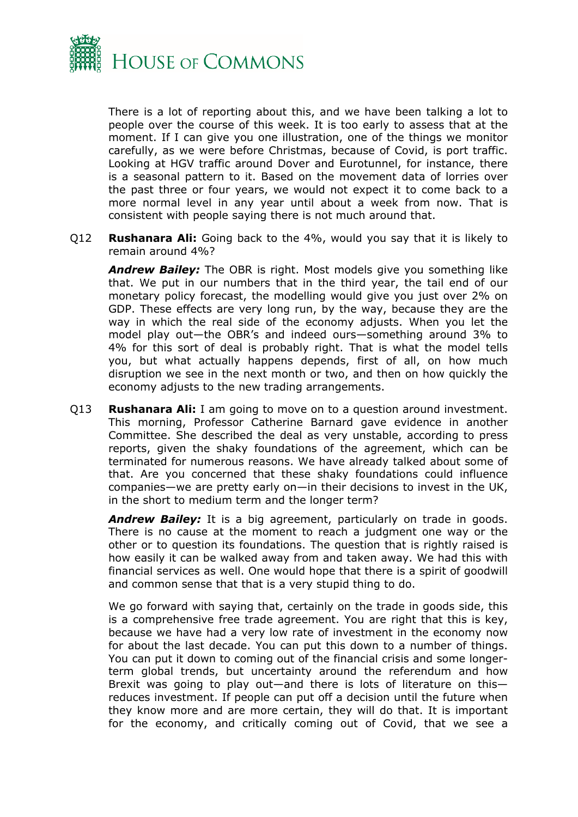

There is a lot of reporting about this, and we have been talking a lot to people over the course of this week. It is too early to assess that at the moment. If I can give you one illustration, one of the things we monitor carefully, as we were before Christmas, because of Covid, is port traffic. Looking at HGV traffic around Dover and Eurotunnel, for instance, there is a seasonal pattern to it. Based on the movement data of lorries over the past three or four years, we would not expect it to come back to a more normal level in any year until about a week from now. That is consistent with people saying there is not much around that.

Q12 **Rushanara Ali:** Going back to the 4%, would you say that it is likely to remain around 4%?

*Andrew Bailey:* The OBR is right. Most models give you something like that. We put in our numbers that in the third year, the tail end of our monetary policy forecast, the modelling would give you just over 2% on GDP. These effects are very long run, by the way, because they are the way in which the real side of the economy adjusts. When you let the model play out—the OBR's and indeed ours—something around 3% to 4% for this sort of deal is probably right. That is what the model tells you, but what actually happens depends, first of all, on how much disruption we see in the next month or two, and then on how quickly the economy adjusts to the new trading arrangements.

Q13 **Rushanara Ali:** I am going to move on to a question around investment. This morning, Professor Catherine Barnard gave evidence in another Committee. She described the deal as very unstable, according to press reports, given the shaky foundations of the agreement, which can be terminated for numerous reasons. We have already talked about some of that. Are you concerned that these shaky foundations could influence companies—we are pretty early on—in their decisions to invest in the UK, in the short to medium term and the longer term?

*Andrew Bailey:* It is a big agreement, particularly on trade in goods. There is no cause at the moment to reach a judgment one way or the other or to question its foundations. The question that is rightly raised is how easily it can be walked away from and taken away. We had this with financial services as well. One would hope that there is a spirit of goodwill and common sense that that is a very stupid thing to do.

We go forward with saying that, certainly on the trade in goods side, this is a comprehensive free trade agreement. You are right that this is key, because we have had a very low rate of investment in the economy now for about the last decade. You can put this down to a number of things. You can put it down to coming out of the financial crisis and some longerterm global trends, but uncertainty around the referendum and how Brexit was going to play out—and there is lots of literature on this reduces investment. If people can put off a decision until the future when they know more and are more certain, they will do that. It is important for the economy, and critically coming out of Covid, that we see a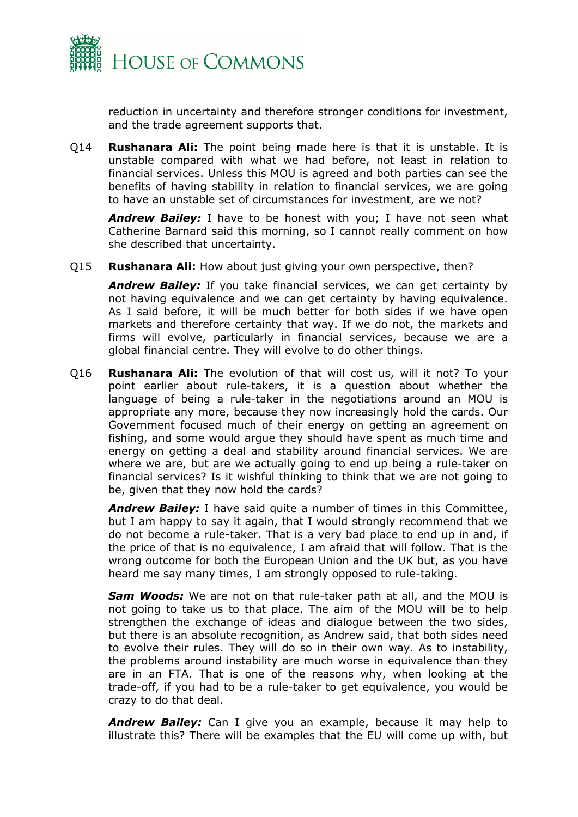

reduction in uncertainty and therefore stronger conditions for investment, and the trade agreement supports that.

Q14 **Rushanara Ali:** The point being made here is that it is unstable. It is unstable compared with what we had before, not least in relation to financial services. Unless this MOU is agreed and both parties can see the benefits of having stability in relation to financial services, we are going to have an unstable set of circumstances for investment, are we not?

*Andrew Bailey:* I have to be honest with you; I have not seen what Catherine Barnard said this morning, so I cannot really comment on how she described that uncertainty.

Q15 **Rushanara Ali:** How about just giving your own perspective, then?

*Andrew Bailey:* If you take financial services, we can get certainty by not having equivalence and we can get certainty by having equivalence. As I said before, it will be much better for both sides if we have open markets and therefore certainty that way. If we do not, the markets and firms will evolve, particularly in financial services, because we are a global financial centre. They will evolve to do other things.

Q16 **Rushanara Ali:** The evolution of that will cost us, will it not? To your point earlier about rule-takers, it is a question about whether the language of being a rule-taker in the negotiations around an MOU is appropriate any more, because they now increasingly hold the cards. Our Government focused much of their energy on getting an agreement on fishing, and some would argue they should have spent as much time and energy on getting a deal and stability around financial services. We are where we are, but are we actually going to end up being a rule-taker on financial services? Is it wishful thinking to think that we are not going to be, given that they now hold the cards?

*Andrew Bailey:* I have said quite a number of times in this Committee, but I am happy to say it again, that I would strongly recommend that we do not become a rule-taker. That is a very bad place to end up in and, if the price of that is no equivalence, I am afraid that will follow. That is the wrong outcome for both the European Union and the UK but, as you have heard me say many times, I am strongly opposed to rule-taking.

*Sam Woods:* We are not on that rule-taker path at all, and the MOU is not going to take us to that place. The aim of the MOU will be to help strengthen the exchange of ideas and dialogue between the two sides, but there is an absolute recognition, as Andrew said, that both sides need to evolve their rules. They will do so in their own way. As to instability, the problems around instability are much worse in equivalence than they are in an FTA. That is one of the reasons why, when looking at the trade-off, if you had to be a rule-taker to get equivalence, you would be crazy to do that deal.

*Andrew Bailey:* Can I give you an example, because it may help to illustrate this? There will be examples that the EU will come up with, but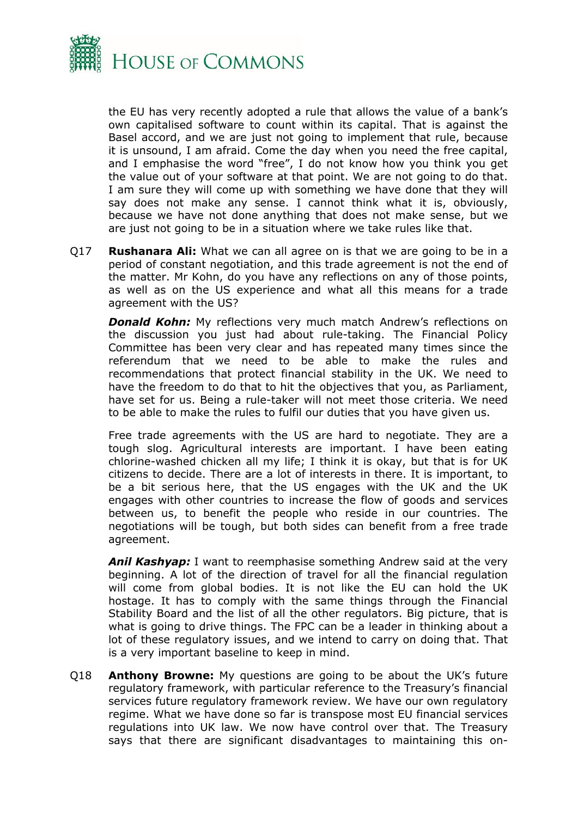

the EU has very recently adopted a rule that allows the value of a bank's own capitalised software to count within its capital. That is against the Basel accord, and we are just not going to implement that rule, because it is unsound, I am afraid. Come the day when you need the free capital, and I emphasise the word "free", I do not know how you think you get the value out of your software at that point. We are not going to do that. I am sure they will come up with something we have done that they will say does not make any sense. I cannot think what it is, obviously, because we have not done anything that does not make sense, but we are just not going to be in a situation where we take rules like that.

Q17 **Rushanara Ali:** What we can all agree on is that we are going to be in a period of constant negotiation, and this trade agreement is not the end of the matter. Mr Kohn, do you have any reflections on any of those points, as well as on the US experience and what all this means for a trade agreement with the US?

*Donald Kohn:* My reflections very much match Andrew's reflections on the discussion you just had about rule-taking. The Financial Policy Committee has been very clear and has repeated many times since the referendum that we need to be able to make the rules and recommendations that protect financial stability in the UK. We need to have the freedom to do that to hit the objectives that you, as Parliament, have set for us. Being a rule-taker will not meet those criteria. We need to be able to make the rules to fulfil our duties that you have given us.

Free trade agreements with the US are hard to negotiate. They are a tough slog. Agricultural interests are important. I have been eating chlorine-washed chicken all my life; I think it is okay, but that is for UK citizens to decide. There are a lot of interests in there. It is important, to be a bit serious here, that the US engages with the UK and the UK engages with other countries to increase the flow of goods and services between us, to benefit the people who reside in our countries. The negotiations will be tough, but both sides can benefit from a free trade agreement.

*Anil Kashyap:* I want to reemphasise something Andrew said at the very beginning. A lot of the direction of travel for all the financial regulation will come from global bodies. It is not like the EU can hold the UK hostage. It has to comply with the same things through the Financial Stability Board and the list of all the other regulators. Big picture, that is what is going to drive things. The FPC can be a leader in thinking about a lot of these regulatory issues, and we intend to carry on doing that. That is a very important baseline to keep in mind.

Q18 **Anthony Browne:** My questions are going to be about the UK's future regulatory framework, with particular reference to the Treasury's financial services future regulatory framework review. We have our own regulatory regime. What we have done so far is transpose most EU financial services regulations into UK law. We now have control over that. The Treasury says that there are significant disadvantages to maintaining this on-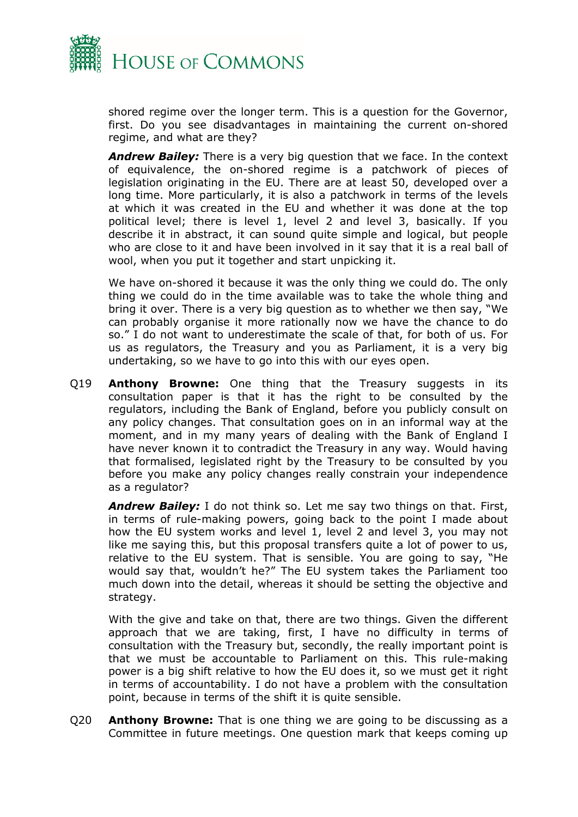

shored regime over the longer term. This is a question for the Governor, first. Do you see disadvantages in maintaining the current on-shored regime, and what are they?

*Andrew Bailey:* There is a very big question that we face. In the context of equivalence, the on-shored regime is a patchwork of pieces of legislation originating in the EU. There are at least 50, developed over a long time. More particularly, it is also a patchwork in terms of the levels at which it was created in the EU and whether it was done at the top political level; there is level 1, level 2 and level 3, basically. If you describe it in abstract, it can sound quite simple and logical, but people who are close to it and have been involved in it say that it is a real ball of wool, when you put it together and start unpicking it.

We have on-shored it because it was the only thing we could do. The only thing we could do in the time available was to take the whole thing and bring it over. There is a very big question as to whether we then say, "We can probably organise it more rationally now we have the chance to do so." I do not want to underestimate the scale of that, for both of us. For us as regulators, the Treasury and you as Parliament, it is a very big undertaking, so we have to go into this with our eyes open.

Q19 **Anthony Browne:** One thing that the Treasury suggests in its consultation paper is that it has the right to be consulted by the regulators, including the Bank of England, before you publicly consult on any policy changes. That consultation goes on in an informal way at the moment, and in my many years of dealing with the Bank of England I have never known it to contradict the Treasury in any way. Would having that formalised, legislated right by the Treasury to be consulted by you before you make any policy changes really constrain your independence as a regulator?

*Andrew Bailey:* I do not think so. Let me say two things on that. First, in terms of rule-making powers, going back to the point I made about how the EU system works and level 1, level 2 and level 3, you may not like me saying this, but this proposal transfers quite a lot of power to us, relative to the EU system. That is sensible. You are going to say, "He would say that, wouldn't he?" The EU system takes the Parliament too much down into the detail, whereas it should be setting the objective and strategy.

With the give and take on that, there are two things. Given the different approach that we are taking, first, I have no difficulty in terms of consultation with the Treasury but, secondly, the really important point is that we must be accountable to Parliament on this. This rule-making power is a big shift relative to how the EU does it, so we must get it right in terms of accountability. I do not have a problem with the consultation point, because in terms of the shift it is quite sensible.

Q20 **Anthony Browne:** That is one thing we are going to be discussing as a Committee in future meetings. One question mark that keeps coming up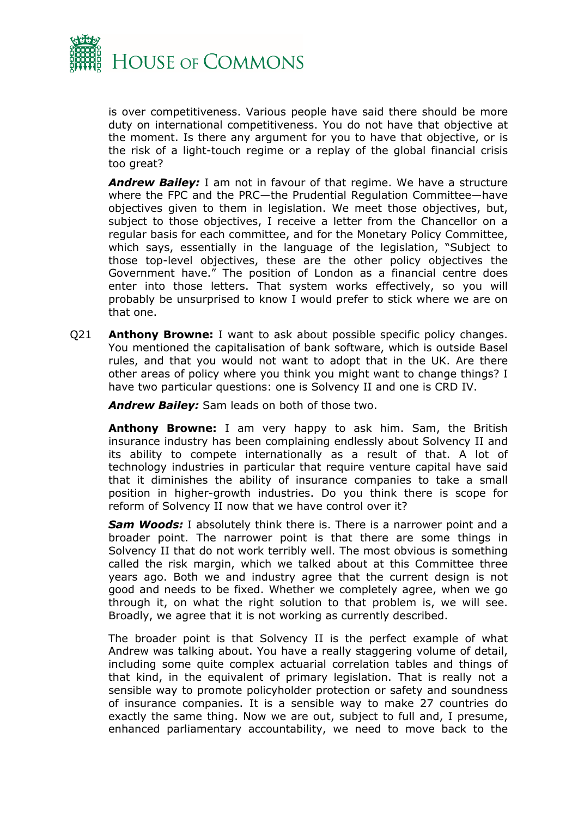

is over competitiveness. Various people have said there should be more duty on international competitiveness. You do not have that objective at the moment. Is there any argument for you to have that objective, or is the risk of a light-touch regime or a replay of the global financial crisis too great?

*Andrew Bailey:* I am not in favour of that regime. We have a structure where the FPC and the PRC—the Prudential Regulation Committee—have objectives given to them in legislation. We meet those objectives, but, subject to those objectives, I receive a letter from the Chancellor on a regular basis for each committee, and for the Monetary Policy Committee, which says, essentially in the language of the legislation, "Subject to those top-level objectives, these are the other policy objectives the Government have." The position of London as a financial centre does enter into those letters. That system works effectively, so you will probably be unsurprised to know I would prefer to stick where we are on that one.

Q21 **Anthony Browne:** I want to ask about possible specific policy changes. You mentioned the capitalisation of bank software, which is outside Basel rules, and that you would not want to adopt that in the UK. Are there other areas of policy where you think you might want to change things? I have two particular questions: one is Solvency II and one is CRD IV.

*Andrew Bailey:* Sam leads on both of those two.

**Anthony Browne:** I am very happy to ask him. Sam, the British insurance industry has been complaining endlessly about Solvency II and its ability to compete internationally as a result of that. A lot of technology industries in particular that require venture capital have said that it diminishes the ability of insurance companies to take a small position in higher-growth industries. Do you think there is scope for reform of Solvency II now that we have control over it?

*Sam Woods:* I absolutely think there is. There is a narrower point and a broader point. The narrower point is that there are some things in Solvency II that do not work terribly well. The most obvious is something called the risk margin, which we talked about at this Committee three years ago. Both we and industry agree that the current design is not good and needs to be fixed. Whether we completely agree, when we go through it, on what the right solution to that problem is, we will see. Broadly, we agree that it is not working as currently described.

The broader point is that Solvency II is the perfect example of what Andrew was talking about. You have a really staggering volume of detail, including some quite complex actuarial correlation tables and things of that kind, in the equivalent of primary legislation. That is really not a sensible way to promote policyholder protection or safety and soundness of insurance companies. It is a sensible way to make 27 countries do exactly the same thing. Now we are out, subject to full and, I presume, enhanced parliamentary accountability, we need to move back to the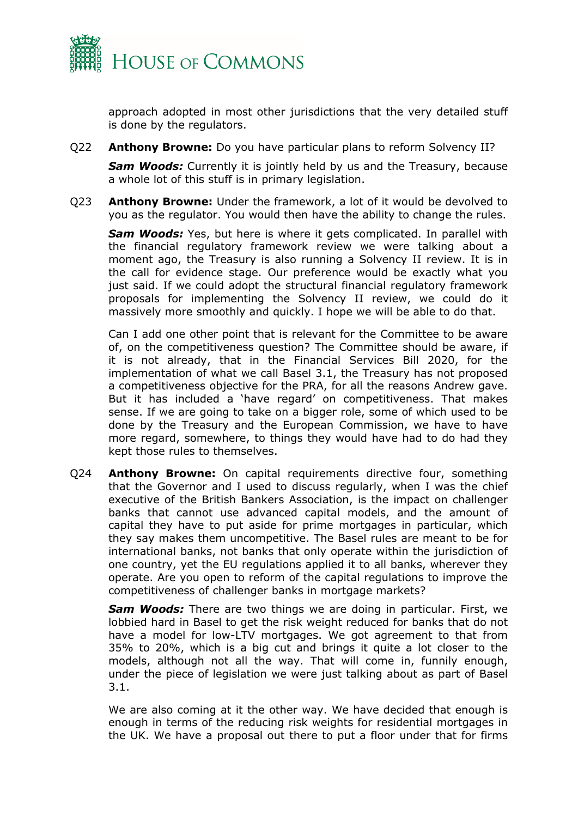

approach adopted in most other jurisdictions that the very detailed stuff is done by the regulators.

Q22 **Anthony Browne:** Do you have particular plans to reform Solvency II?

**Sam Woods:** Currently it is jointly held by us and the Treasury, because a whole lot of this stuff is in primary legislation.

Q23 **Anthony Browne:** Under the framework, a lot of it would be devolved to you as the regulator. You would then have the ability to change the rules.

*Sam Woods:* Yes, but here is where it gets complicated. In parallel with the financial regulatory framework review we were talking about a moment ago, the Treasury is also running a Solvency II review. It is in the call for evidence stage. Our preference would be exactly what you just said. If we could adopt the structural financial regulatory framework proposals for implementing the Solvency II review, we could do it massively more smoothly and quickly. I hope we will be able to do that.

Can I add one other point that is relevant for the Committee to be aware of, on the competitiveness question? The Committee should be aware, if it is not already, that in the Financial Services Bill 2020, for the implementation of what we call Basel 3.1, the Treasury has not proposed a competitiveness objective for the PRA, for all the reasons Andrew gave. But it has included a 'have regard' on competitiveness. That makes sense. If we are going to take on a bigger role, some of which used to be done by the Treasury and the European Commission, we have to have more regard, somewhere, to things they would have had to do had they kept those rules to themselves.

Q24 **Anthony Browne:** On capital requirements directive four, something that the Governor and I used to discuss regularly, when I was the chief executive of the British Bankers Association, is the impact on challenger banks that cannot use advanced capital models, and the amount of capital they have to put aside for prime mortgages in particular, which they say makes them uncompetitive. The Basel rules are meant to be for international banks, not banks that only operate within the jurisdiction of one country, yet the EU regulations applied it to all banks, wherever they operate. Are you open to reform of the capital regulations to improve the competitiveness of challenger banks in mortgage markets?

*Sam Woods:* There are two things we are doing in particular. First, we lobbied hard in Basel to get the risk weight reduced for banks that do not have a model for low-LTV mortgages. We got agreement to that from 35% to 20%, which is a big cut and brings it quite a lot closer to the models, although not all the way. That will come in, funnily enough, under the piece of legislation we were just talking about as part of Basel 3.1.

We are also coming at it the other way. We have decided that enough is enough in terms of the reducing risk weights for residential mortgages in the UK. We have a proposal out there to put a floor under that for firms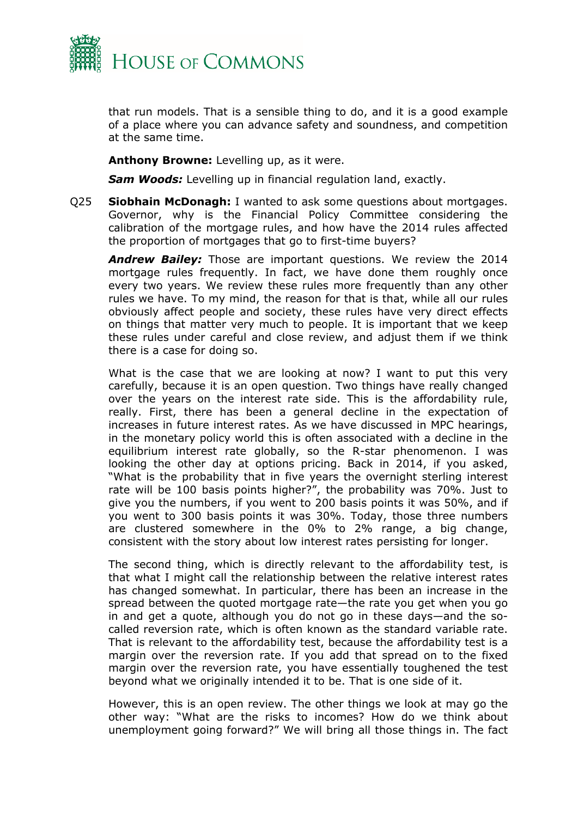

that run models. That is a sensible thing to do, and it is a good example of a place where you can advance safety and soundness, and competition at the same time.

**Anthony Browne:** Levelling up, as it were.

*Sam Woods:* Levelling up in financial regulation land, exactly.

Q25 **Siobhain McDonagh:** I wanted to ask some questions about mortgages. Governor, why is the Financial Policy Committee considering the calibration of the mortgage rules, and how have the 2014 rules affected the proportion of mortgages that go to first-time buyers?

*Andrew Bailey:* Those are important questions. We review the 2014 mortgage rules frequently. In fact, we have done them roughly once every two years. We review these rules more frequently than any other rules we have. To my mind, the reason for that is that, while all our rules obviously affect people and society, these rules have very direct effects on things that matter very much to people. It is important that we keep these rules under careful and close review, and adjust them if we think there is a case for doing so.

What is the case that we are looking at now? I want to put this very carefully, because it is an open question. Two things have really changed over the years on the interest rate side. This is the affordability rule, really. First, there has been a general decline in the expectation of increases in future interest rates. As we have discussed in MPC hearings, in the monetary policy world this is often associated with a decline in the equilibrium interest rate globally, so the R-star phenomenon. I was looking the other day at options pricing. Back in 2014, if you asked, "What is the probability that in five years the overnight sterling interest rate will be 100 basis points higher?", the probability was 70%. Just to give you the numbers, if you went to 200 basis points it was 50%, and if you went to 300 basis points it was 30%. Today, those three numbers are clustered somewhere in the 0% to 2% range, a big change, consistent with the story about low interest rates persisting for longer.

The second thing, which is directly relevant to the affordability test, is that what I might call the relationship between the relative interest rates has changed somewhat. In particular, there has been an increase in the spread between the quoted mortgage rate—the rate you get when you go in and get a quote, although you do not go in these days—and the socalled reversion rate, which is often known as the standard variable rate. That is relevant to the affordability test, because the affordability test is a margin over the reversion rate. If you add that spread on to the fixed margin over the reversion rate, you have essentially toughened the test beyond what we originally intended it to be. That is one side of it.

However, this is an open review. The other things we look at may go the other way: "What are the risks to incomes? How do we think about unemployment going forward?" We will bring all those things in. The fact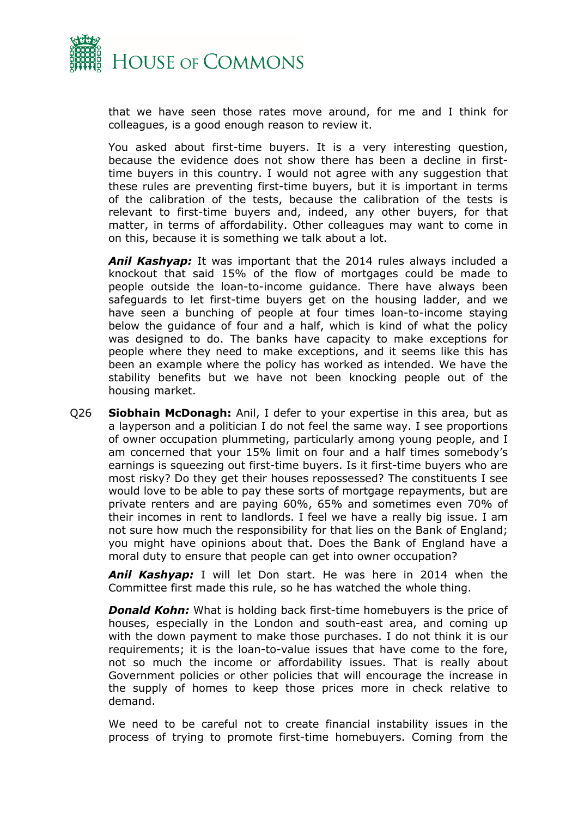

that we have seen those rates move around, for me and I think for colleagues, is a good enough reason to review it.

You asked about first-time buyers. It is a very interesting question, because the evidence does not show there has been a decline in firsttime buyers in this country. I would not agree with any suggestion that these rules are preventing first-time buyers, but it is important in terms of the calibration of the tests, because the calibration of the tests is relevant to first-time buyers and, indeed, any other buyers, for that matter, in terms of affordability. Other colleagues may want to come in on this, because it is something we talk about a lot.

*Anil Kashyap:* It was important that the 2014 rules always included a knockout that said 15% of the flow of mortgages could be made to people outside the loan-to-income guidance. There have always been safeguards to let first-time buyers get on the housing ladder, and we have seen a bunching of people at four times loan-to-income staying below the guidance of four and a half, which is kind of what the policy was designed to do. The banks have capacity to make exceptions for people where they need to make exceptions, and it seems like this has been an example where the policy has worked as intended. We have the stability benefits but we have not been knocking people out of the housing market.

Q26 **Siobhain McDonagh:** Anil, I defer to your expertise in this area, but as a layperson and a politician I do not feel the same way. I see proportions of owner occupation plummeting, particularly among young people, and I am concerned that your 15% limit on four and a half times somebody's earnings is squeezing out first-time buyers. Is it first-time buyers who are most risky? Do they get their houses repossessed? The constituents I see would love to be able to pay these sorts of mortgage repayments, but are private renters and are paying 60%, 65% and sometimes even 70% of their incomes in rent to landlords. I feel we have a really big issue. I am not sure how much the responsibility for that lies on the Bank of England; you might have opinions about that. Does the Bank of England have a moral duty to ensure that people can get into owner occupation?

*Anil Kashyap:* I will let Don start. He was here in 2014 when the Committee first made this rule, so he has watched the whole thing.

*Donald Kohn:* What is holding back first-time homebuyers is the price of houses, especially in the London and south-east area, and coming up with the down payment to make those purchases. I do not think it is our requirements; it is the loan-to-value issues that have come to the fore, not so much the income or affordability issues. That is really about Government policies or other policies that will encourage the increase in the supply of homes to keep those prices more in check relative to demand.

We need to be careful not to create financial instability issues in the process of trying to promote first-time homebuyers. Coming from the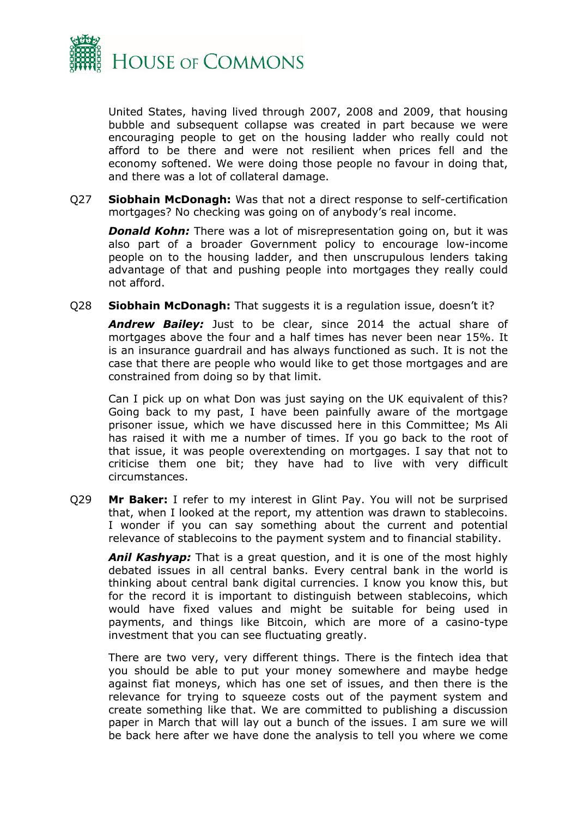

United States, having lived through 2007, 2008 and 2009, that housing bubble and subsequent collapse was created in part because we were encouraging people to get on the housing ladder who really could not afford to be there and were not resilient when prices fell and the economy softened. We were doing those people no favour in doing that, and there was a lot of collateral damage.

Q27 **Siobhain McDonagh:** Was that not a direct response to self-certification mortgages? No checking was going on of anybody's real income.

*Donald Kohn:* There was a lot of misrepresentation going on, but it was also part of a broader Government policy to encourage low-income people on to the housing ladder, and then unscrupulous lenders taking advantage of that and pushing people into mortgages they really could not afford.

Q28 **Siobhain McDonagh:** That suggests it is a regulation issue, doesn't it?

*Andrew Bailey:* Just to be clear, since 2014 the actual share of mortgages above the four and a half times has never been near 15%. It is an insurance guardrail and has always functioned as such. It is not the case that there are people who would like to get those mortgages and are constrained from doing so by that limit.

Can I pick up on what Don was just saying on the UK equivalent of this? Going back to my past, I have been painfully aware of the mortgage prisoner issue, which we have discussed here in this Committee; Ms Ali has raised it with me a number of times. If you go back to the root of that issue, it was people overextending on mortgages. I say that not to criticise them one bit; they have had to live with very difficult circumstances.

Q29 **Mr Baker:** I refer to my interest in Glint Pay. You will not be surprised that, when I looked at the report, my attention was drawn to stablecoins. I wonder if you can say something about the current and potential relevance of stablecoins to the payment system and to financial stability.

*Anil Kashyap:* That is a great question, and it is one of the most highly debated issues in all central banks. Every central bank in the world is thinking about central bank digital currencies. I know you know this, but for the record it is important to distinguish between stablecoins, which would have fixed values and might be suitable for being used in payments, and things like Bitcoin, which are more of a casino-type investment that you can see fluctuating greatly.

There are two very, very different things. There is the fintech idea that you should be able to put your money somewhere and maybe hedge against fiat moneys, which has one set of issues, and then there is the relevance for trying to squeeze costs out of the payment system and create something like that. We are committed to publishing a discussion paper in March that will lay out a bunch of the issues. I am sure we will be back here after we have done the analysis to tell you where we come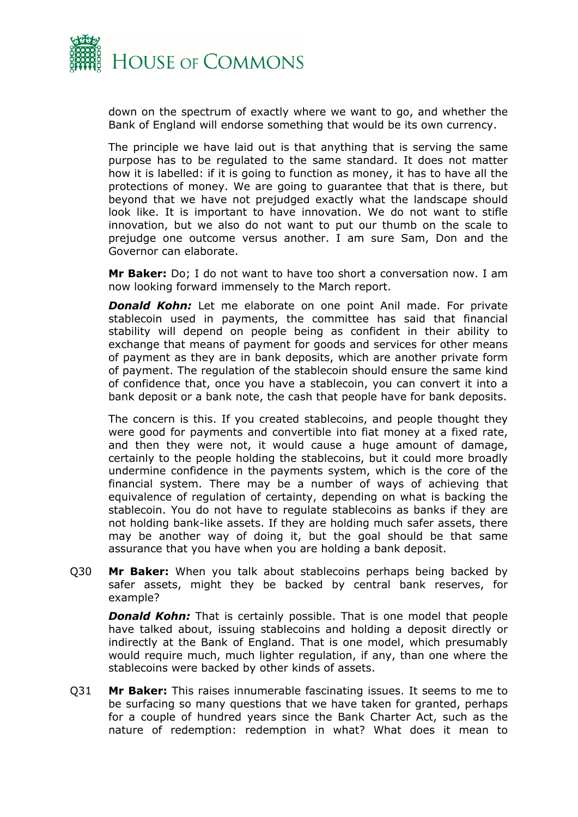

down on the spectrum of exactly where we want to go, and whether the Bank of England will endorse something that would be its own currency.

The principle we have laid out is that anything that is serving the same purpose has to be regulated to the same standard. It does not matter how it is labelled: if it is going to function as money, it has to have all the protections of money. We are going to guarantee that that is there, but beyond that we have not prejudged exactly what the landscape should look like. It is important to have innovation. We do not want to stifle innovation, but we also do not want to put our thumb on the scale to prejudge one outcome versus another. I am sure Sam, Don and the Governor can elaborate.

**Mr Baker:** Do; I do not want to have too short a conversation now. I am now looking forward immensely to the March report.

*Donald Kohn:* Let me elaborate on one point Anil made. For private stablecoin used in payments, the committee has said that financial stability will depend on people being as confident in their ability to exchange that means of payment for goods and services for other means of payment as they are in bank deposits, which are another private form of payment. The regulation of the stablecoin should ensure the same kind of confidence that, once you have a stablecoin, you can convert it into a bank deposit or a bank note, the cash that people have for bank deposits.

The concern is this. If you created stablecoins, and people thought they were good for payments and convertible into fiat money at a fixed rate, and then they were not, it would cause a huge amount of damage, certainly to the people holding the stablecoins, but it could more broadly undermine confidence in the payments system, which is the core of the financial system. There may be a number of ways of achieving that equivalence of regulation of certainty, depending on what is backing the stablecoin. You do not have to regulate stablecoins as banks if they are not holding bank-like assets. If they are holding much safer assets, there may be another way of doing it, but the goal should be that same assurance that you have when you are holding a bank deposit.

Q30 **Mr Baker:** When you talk about stablecoins perhaps being backed by safer assets, might they be backed by central bank reserves, for example?

*Donald Kohn:* That is certainly possible. That is one model that people have talked about, issuing stablecoins and holding a deposit directly or indirectly at the Bank of England. That is one model, which presumably would require much, much lighter regulation, if any, than one where the stablecoins were backed by other kinds of assets.

Q31 **Mr Baker:** This raises innumerable fascinating issues. It seems to me to be surfacing so many questions that we have taken for granted, perhaps for a couple of hundred years since the Bank Charter Act, such as the nature of redemption: redemption in what? What does it mean to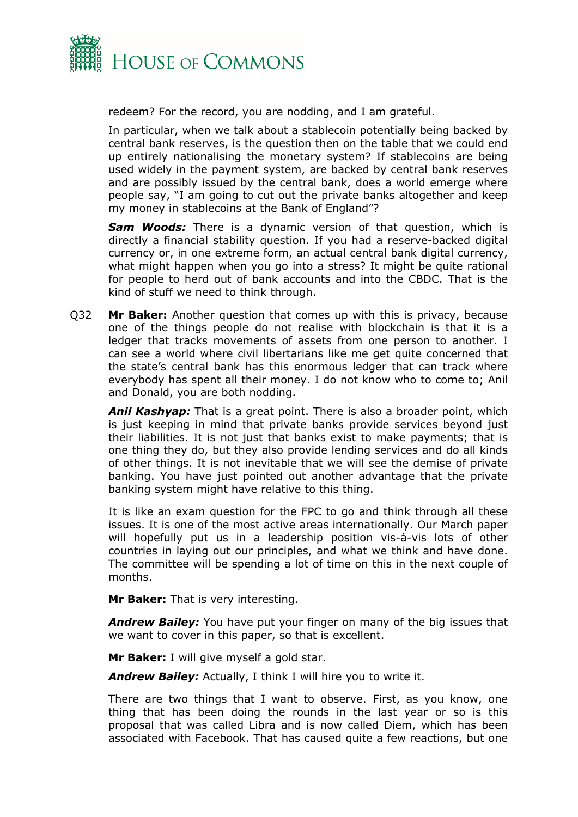

redeem? For the record, you are nodding, and I am grateful.

In particular, when we talk about a stablecoin potentially being backed by central bank reserves, is the question then on the table that we could end up entirely nationalising the monetary system? If stablecoins are being used widely in the payment system, are backed by central bank reserves and are possibly issued by the central bank, does a world emerge where people say, "I am going to cut out the private banks altogether and keep my money in stablecoins at the Bank of England"?

*Sam Woods:* There is a dynamic version of that question, which is directly a financial stability question. If you had a reserve-backed digital currency or, in one extreme form, an actual central bank digital currency, what might happen when you go into a stress? It might be quite rational for people to herd out of bank accounts and into the CBDC. That is the kind of stuff we need to think through.

Q32 **Mr Baker:** Another question that comes up with this is privacy, because one of the things people do not realise with blockchain is that it is a ledger that tracks movements of assets from one person to another. I can see a world where civil libertarians like me get quite concerned that the state's central bank has this enormous ledger that can track where everybody has spent all their money. I do not know who to come to; Anil and Donald, you are both nodding.

*Anil Kashyap:* That is a great point. There is also a broader point, which is just keeping in mind that private banks provide services beyond just their liabilities. It is not just that banks exist to make payments; that is one thing they do, but they also provide lending services and do all kinds of other things. It is not inevitable that we will see the demise of private banking. You have just pointed out another advantage that the private banking system might have relative to this thing.

It is like an exam question for the FPC to go and think through all these issues. It is one of the most active areas internationally. Our March paper will hopefully put us in a leadership position vis-à-vis lots of other countries in laying out our principles, and what we think and have done. The committee will be spending a lot of time on this in the next couple of months.

**Mr Baker:** That is very interesting.

*Andrew Bailey:* You have put your finger on many of the big issues that we want to cover in this paper, so that is excellent.

**Mr Baker:** I will give myself a gold star.

*Andrew Bailey:* Actually, I think I will hire you to write it.

There are two things that I want to observe. First, as you know, one thing that has been doing the rounds in the last year or so is this proposal that was called Libra and is now called Diem, which has been associated with Facebook. That has caused quite a few reactions, but one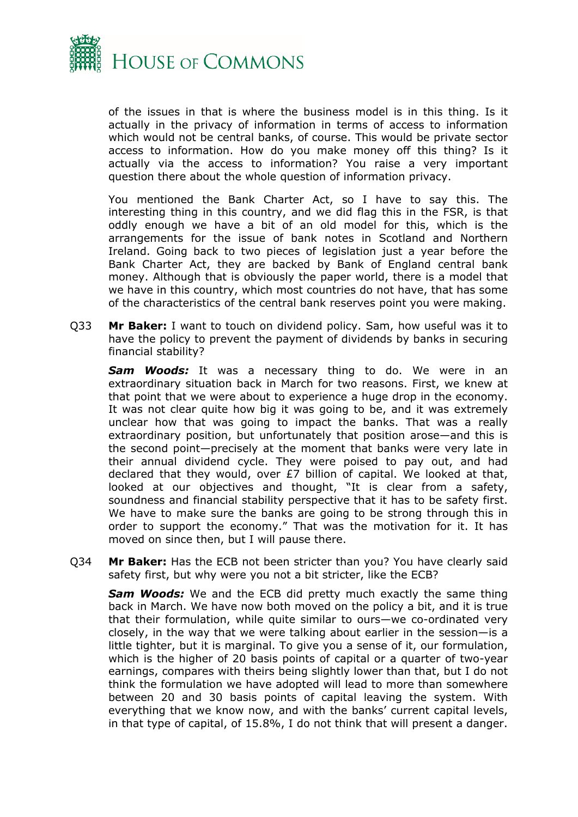

of the issues in that is where the business model is in this thing. Is it actually in the privacy of information in terms of access to information which would not be central banks, of course. This would be private sector access to information. How do you make money off this thing? Is it actually via the access to information? You raise a very important question there about the whole question of information privacy.

You mentioned the Bank Charter Act, so I have to say this. The interesting thing in this country, and we did flag this in the FSR, is that oddly enough we have a bit of an old model for this, which is the arrangements for the issue of bank notes in Scotland and Northern Ireland. Going back to two pieces of legislation just a year before the Bank Charter Act, they are backed by Bank of England central bank money. Although that is obviously the paper world, there is a model that we have in this country, which most countries do not have, that has some of the characteristics of the central bank reserves point you were making.

Q33 **Mr Baker:** I want to touch on dividend policy. Sam, how useful was it to have the policy to prevent the payment of dividends by banks in securing financial stability?

**Sam Woods:** It was a necessary thing to do. We were in an extraordinary situation back in March for two reasons. First, we knew at that point that we were about to experience a huge drop in the economy. It was not clear quite how big it was going to be, and it was extremely unclear how that was going to impact the banks. That was a really extraordinary position, but unfortunately that position arose—and this is the second point—precisely at the moment that banks were very late in their annual dividend cycle. They were poised to pay out, and had declared that they would, over £7 billion of capital. We looked at that, looked at our objectives and thought, "It is clear from a safety, soundness and financial stability perspective that it has to be safety first. We have to make sure the banks are going to be strong through this in order to support the economy." That was the motivation for it. It has moved on since then, but I will pause there.

Q34 **Mr Baker:** Has the ECB not been stricter than you? You have clearly said safety first, but why were you not a bit stricter, like the ECB?

*Sam Woods:* We and the ECB did pretty much exactly the same thing back in March. We have now both moved on the policy a bit, and it is true that their formulation, while quite similar to ours—we co-ordinated very closely, in the way that we were talking about earlier in the session—is a little tighter, but it is marginal. To give you a sense of it, our formulation, which is the higher of 20 basis points of capital or a quarter of two-year earnings, compares with theirs being slightly lower than that, but I do not think the formulation we have adopted will lead to more than somewhere between 20 and 30 basis points of capital leaving the system. With everything that we know now, and with the banks' current capital levels, in that type of capital, of 15.8%, I do not think that will present a danger.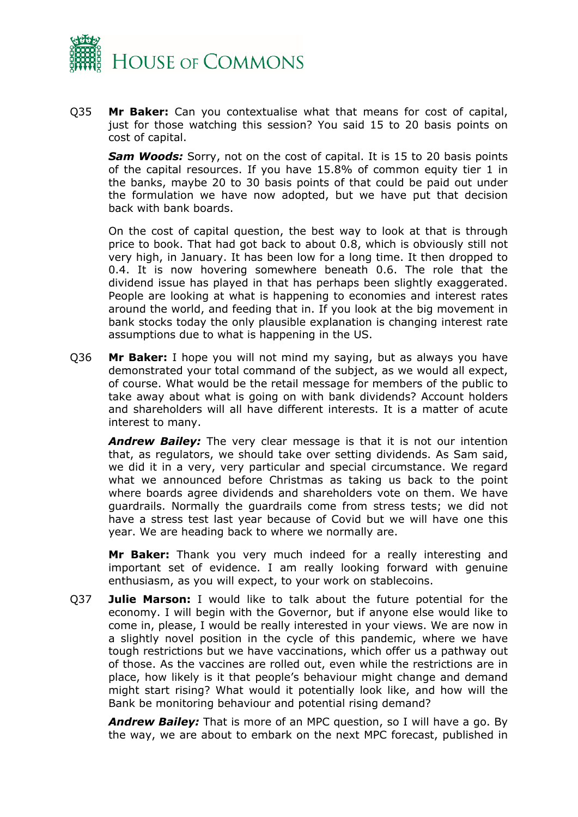

Q35 **Mr Baker:** Can you contextualise what that means for cost of capital, just for those watching this session? You said 15 to 20 basis points on cost of capital.

*Sam Woods:* Sorry, not on the cost of capital. It is 15 to 20 basis points of the capital resources. If you have 15.8% of common equity tier 1 in the banks, maybe 20 to 30 basis points of that could be paid out under the formulation we have now adopted, but we have put that decision back with bank boards.

On the cost of capital question, the best way to look at that is through price to book. That had got back to about 0.8, which is obviously still not very high, in January. It has been low for a long time. It then dropped to 0.4. It is now hovering somewhere beneath 0.6. The role that the dividend issue has played in that has perhaps been slightly exaggerated. People are looking at what is happening to economies and interest rates around the world, and feeding that in. If you look at the big movement in bank stocks today the only plausible explanation is changing interest rate assumptions due to what is happening in the US.

Q36 **Mr Baker:** I hope you will not mind my saying, but as always you have demonstrated your total command of the subject, as we would all expect, of course. What would be the retail message for members of the public to take away about what is going on with bank dividends? Account holders and shareholders will all have different interests. It is a matter of acute interest to many.

*Andrew Bailey:* The very clear message is that it is not our intention that, as regulators, we should take over setting dividends. As Sam said, we did it in a very, very particular and special circumstance. We regard what we announced before Christmas as taking us back to the point where boards agree dividends and shareholders vote on them. We have guardrails. Normally the guardrails come from stress tests; we did not have a stress test last year because of Covid but we will have one this year. We are heading back to where we normally are.

**Mr Baker:** Thank you very much indeed for a really interesting and important set of evidence. I am really looking forward with genuine enthusiasm, as you will expect, to your work on stablecoins.

Q37 **Julie Marson:** I would like to talk about the future potential for the economy. I will begin with the Governor, but if anyone else would like to come in, please, I would be really interested in your views. We are now in a slightly novel position in the cycle of this pandemic, where we have tough restrictions but we have vaccinations, which offer us a pathway out of those. As the vaccines are rolled out, even while the restrictions are in place, how likely is it that people's behaviour might change and demand might start rising? What would it potentially look like, and how will the Bank be monitoring behaviour and potential rising demand?

*Andrew Bailey:* That is more of an MPC question, so I will have a go. By the way, we are about to embark on the next MPC forecast, published in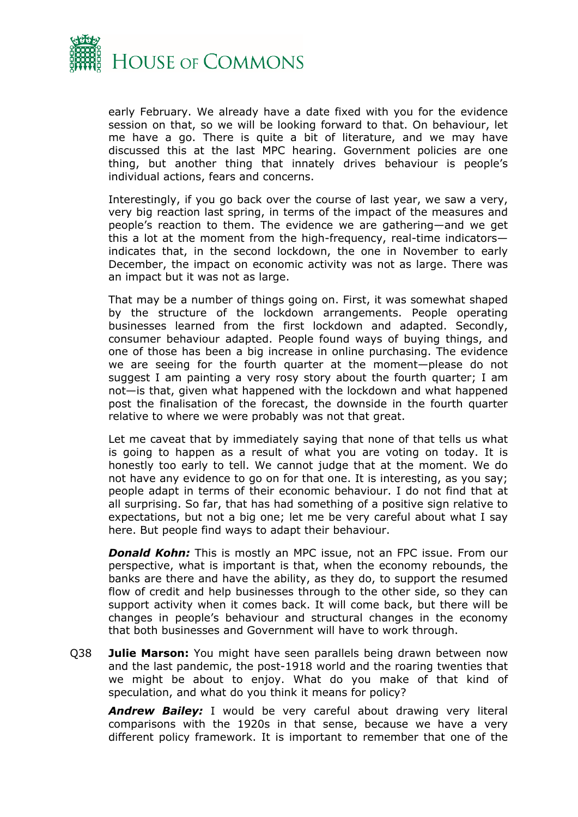

early February. We already have a date fixed with you for the evidence session on that, so we will be looking forward to that. On behaviour, let me have a go. There is quite a bit of literature, and we may have discussed this at the last MPC hearing. Government policies are one thing, but another thing that innately drives behaviour is people's individual actions, fears and concerns.

Interestingly, if you go back over the course of last year, we saw a very, very big reaction last spring, in terms of the impact of the measures and people's reaction to them. The evidence we are gathering—and we get this a lot at the moment from the high-frequency, real-time indicators indicates that, in the second lockdown, the one in November to early December, the impact on economic activity was not as large. There was an impact but it was not as large.

That may be a number of things going on. First, it was somewhat shaped by the structure of the lockdown arrangements. People operating businesses learned from the first lockdown and adapted. Secondly, consumer behaviour adapted. People found ways of buying things, and one of those has been a big increase in online purchasing. The evidence we are seeing for the fourth quarter at the moment—please do not suggest I am painting a very rosy story about the fourth quarter; I am not—is that, given what happened with the lockdown and what happened post the finalisation of the forecast, the downside in the fourth quarter relative to where we were probably was not that great.

Let me caveat that by immediately saying that none of that tells us what is going to happen as a result of what you are voting on today. It is honestly too early to tell. We cannot judge that at the moment. We do not have any evidence to go on for that one. It is interesting, as you say; people adapt in terms of their economic behaviour. I do not find that at all surprising. So far, that has had something of a positive sign relative to expectations, but not a big one; let me be very careful about what I say here. But people find ways to adapt their behaviour.

*Donald Kohn:* This is mostly an MPC issue, not an FPC issue. From our perspective, what is important is that, when the economy rebounds, the banks are there and have the ability, as they do, to support the resumed flow of credit and help businesses through to the other side, so they can support activity when it comes back. It will come back, but there will be changes in people's behaviour and structural changes in the economy that both businesses and Government will have to work through.

Q38 **Julie Marson:** You might have seen parallels being drawn between now and the last pandemic, the post-1918 world and the roaring twenties that we might be about to enjoy. What do you make of that kind of speculation, and what do you think it means for policy?

*Andrew Bailey:* I would be very careful about drawing very literal comparisons with the 1920s in that sense, because we have a very different policy framework. It is important to remember that one of the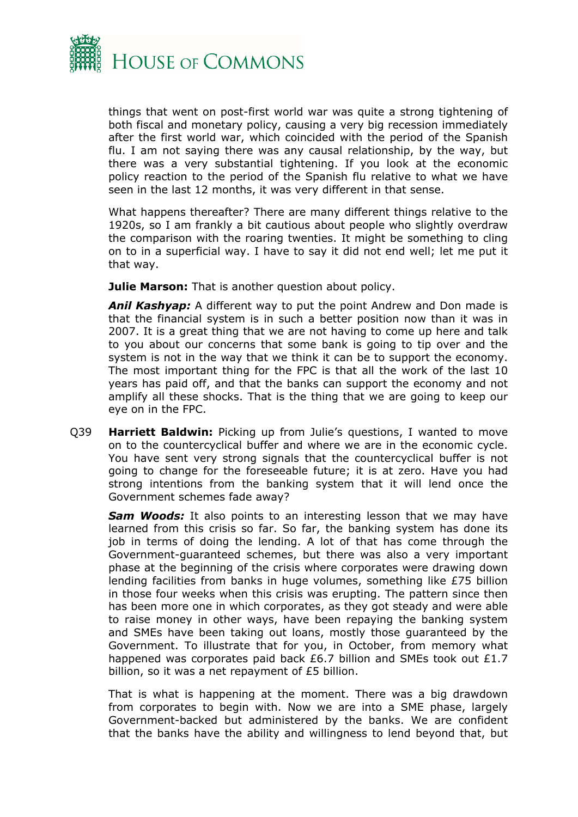

things that went on post-first world war was quite a strong tightening of both fiscal and monetary policy, causing a very big recession immediately after the first world war, which coincided with the period of the Spanish flu. I am not saying there was any causal relationship, by the way, but there was a very substantial tightening. If you look at the economic policy reaction to the period of the Spanish flu relative to what we have seen in the last 12 months, it was very different in that sense.

What happens thereafter? There are many different things relative to the 1920s, so I am frankly a bit cautious about people who slightly overdraw the comparison with the roaring twenties. It might be something to cling on to in a superficial way. I have to say it did not end well; let me put it that way.

**Julie Marson:** That is another question about policy.

*Anil Kashyap:* A different way to put the point Andrew and Don made is that the financial system is in such a better position now than it was in 2007. It is a great thing that we are not having to come up here and talk to you about our concerns that some bank is going to tip over and the system is not in the way that we think it can be to support the economy. The most important thing for the FPC is that all the work of the last 10 years has paid off, and that the banks can support the economy and not amplify all these shocks. That is the thing that we are going to keep our eye on in the FPC.

Q39 **Harriett Baldwin:** Picking up from Julie's questions, I wanted to move on to the countercyclical buffer and where we are in the economic cycle. You have sent very strong signals that the countercyclical buffer is not going to change for the foreseeable future; it is at zero. Have you had strong intentions from the banking system that it will lend once the Government schemes fade away?

*Sam Woods:* It also points to an interesting lesson that we may have learned from this crisis so far. So far, the banking system has done its job in terms of doing the lending. A lot of that has come through the Government-guaranteed schemes, but there was also a very important phase at the beginning of the crisis where corporates were drawing down lending facilities from banks in huge volumes, something like £75 billion in those four weeks when this crisis was erupting. The pattern since then has been more one in which corporates, as they got steady and were able to raise money in other ways, have been repaying the banking system and SMEs have been taking out loans, mostly those guaranteed by the Government. To illustrate that for you, in October, from memory what happened was corporates paid back £6.7 billion and SMEs took out £1.7 billion, so it was a net repayment of £5 billion.

That is what is happening at the moment. There was a big drawdown from corporates to begin with. Now we are into a SME phase, largely Government-backed but administered by the banks. We are confident that the banks have the ability and willingness to lend beyond that, but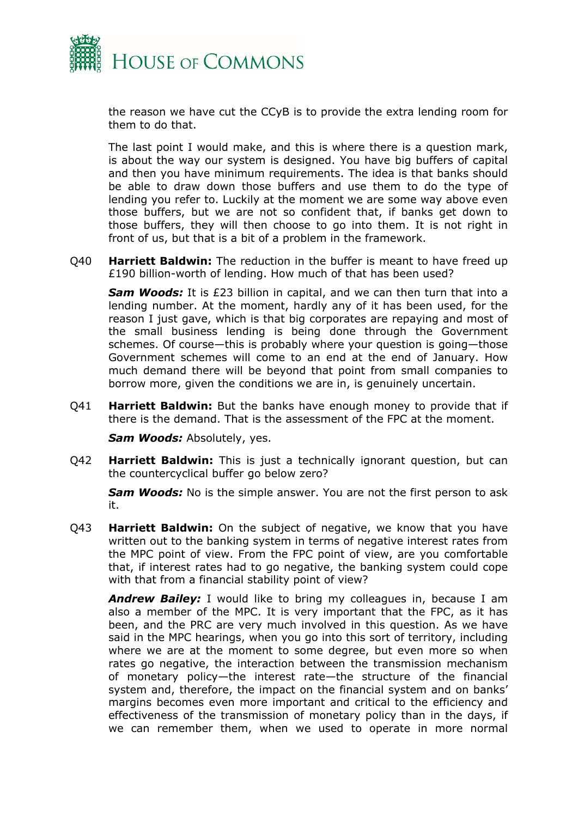

the reason we have cut the CCyB is to provide the extra lending room for them to do that.

The last point I would make, and this is where there is a question mark, is about the way our system is designed. You have big buffers of capital and then you have minimum requirements. The idea is that banks should be able to draw down those buffers and use them to do the type of lending you refer to. Luckily at the moment we are some way above even those buffers, but we are not so confident that, if banks get down to those buffers, they will then choose to go into them. It is not right in front of us, but that is a bit of a problem in the framework.

Q40 **Harriett Baldwin:** The reduction in the buffer is meant to have freed up £190 billion-worth of lending. How much of that has been used?

*Sam Woods:* It is £23 billion in capital, and we can then turn that into a lending number. At the moment, hardly any of it has been used, for the reason I just gave, which is that big corporates are repaying and most of the small business lending is being done through the Government schemes. Of course—this is probably where your question is going—those Government schemes will come to an end at the end of January. How much demand there will be beyond that point from small companies to borrow more, given the conditions we are in, is genuinely uncertain.

Q41 **Harriett Baldwin:** But the banks have enough money to provide that if there is the demand. That is the assessment of the FPC at the moment.

*Sam Woods:* Absolutely, yes.

Q42 **Harriett Baldwin:** This is just a technically ignorant question, but can the countercyclical buffer go below zero?

*Sam Woods:* No is the simple answer. You are not the first person to ask it.

Q43 **Harriett Baldwin:** On the subject of negative, we know that you have written out to the banking system in terms of negative interest rates from the MPC point of view. From the FPC point of view, are you comfortable that, if interest rates had to go negative, the banking system could cope with that from a financial stability point of view?

*Andrew Bailey:* I would like to bring my colleagues in, because I am also a member of the MPC. It is very important that the FPC, as it has been, and the PRC are very much involved in this question. As we have said in the MPC hearings, when you go into this sort of territory, including where we are at the moment to some degree, but even more so when rates go negative, the interaction between the transmission mechanism of monetary policy—the interest rate—the structure of the financial system and, therefore, the impact on the financial system and on banks' margins becomes even more important and critical to the efficiency and effectiveness of the transmission of monetary policy than in the days, if we can remember them, when we used to operate in more normal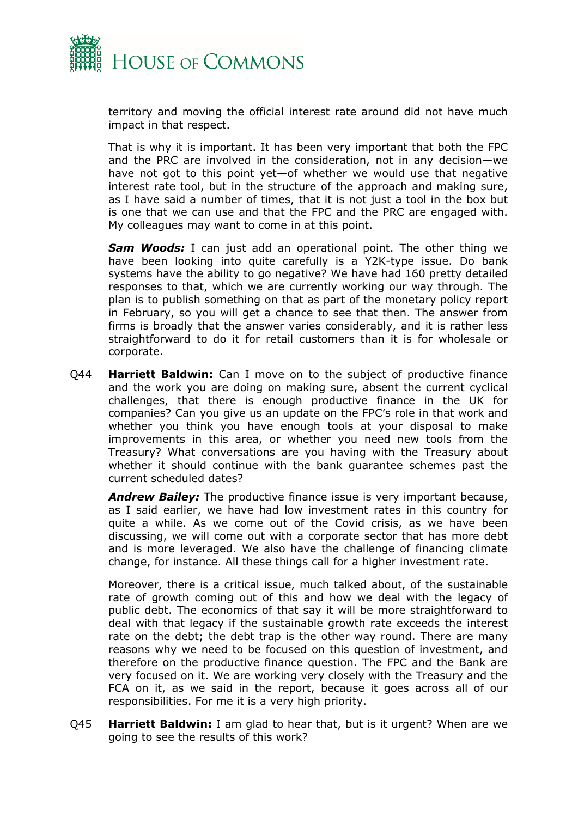

territory and moving the official interest rate around did not have much impact in that respect.

That is why it is important. It has been very important that both the FPC and the PRC are involved in the consideration, not in any decision—we have not got to this point yet—of whether we would use that negative interest rate tool, but in the structure of the approach and making sure, as I have said a number of times, that it is not just a tool in the box but is one that we can use and that the FPC and the PRC are engaged with. My colleagues may want to come in at this point.

*Sam Woods:* I can just add an operational point. The other thing we have been looking into quite carefully is a Y2K-type issue. Do bank systems have the ability to go negative? We have had 160 pretty detailed responses to that, which we are currently working our way through. The plan is to publish something on that as part of the monetary policy report in February, so you will get a chance to see that then. The answer from firms is broadly that the answer varies considerably, and it is rather less straightforward to do it for retail customers than it is for wholesale or corporate.

Q44 **Harriett Baldwin:** Can I move on to the subject of productive finance and the work you are doing on making sure, absent the current cyclical challenges, that there is enough productive finance in the UK for companies? Can you give us an update on the FPC's role in that work and whether you think you have enough tools at your disposal to make improvements in this area, or whether you need new tools from the Treasury? What conversations are you having with the Treasury about whether it should continue with the bank guarantee schemes past the current scheduled dates?

*Andrew Bailey:* The productive finance issue is very important because, as I said earlier, we have had low investment rates in this country for quite a while. As we come out of the Covid crisis, as we have been discussing, we will come out with a corporate sector that has more debt and is more leveraged. We also have the challenge of financing climate change, for instance. All these things call for a higher investment rate.

Moreover, there is a critical issue, much talked about, of the sustainable rate of growth coming out of this and how we deal with the legacy of public debt. The economics of that say it will be more straightforward to deal with that legacy if the sustainable growth rate exceeds the interest rate on the debt; the debt trap is the other way round. There are many reasons why we need to be focused on this question of investment, and therefore on the productive finance question. The FPC and the Bank are very focused on it. We are working very closely with the Treasury and the FCA on it, as we said in the report, because it goes across all of our responsibilities. For me it is a very high priority.

Q45 **Harriett Baldwin:** I am glad to hear that, but is it urgent? When are we going to see the results of this work?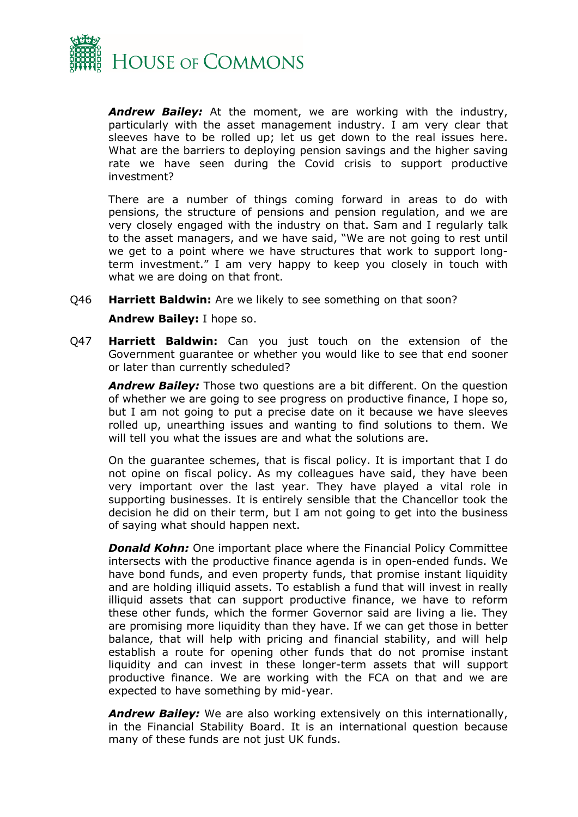

*Andrew Bailey:* At the moment, we are working with the industry, particularly with the asset management industry. I am very clear that sleeves have to be rolled up; let us get down to the real issues here. What are the barriers to deploying pension savings and the higher saving rate we have seen during the Covid crisis to support productive investment?

There are a number of things coming forward in areas to do with pensions, the structure of pensions and pension regulation, and we are very closely engaged with the industry on that. Sam and I regularly talk to the asset managers, and we have said, "We are not going to rest until we get to a point where we have structures that work to support longterm investment." I am very happy to keep you closely in touch with what we are doing on that front.

- Q46 **Harriett Baldwin:** Are we likely to see something on that soon? **Andrew Bailey:** I hope so.
- Q47 **Harriett Baldwin:** Can you just touch on the extension of the Government guarantee or whether you would like to see that end sooner or later than currently scheduled?

*Andrew Bailey:* Those two questions are a bit different. On the question of whether we are going to see progress on productive finance, I hope so, but I am not going to put a precise date on it because we have sleeves rolled up, unearthing issues and wanting to find solutions to them. We will tell you what the issues are and what the solutions are.

On the guarantee schemes, that is fiscal policy. It is important that I do not opine on fiscal policy. As my colleagues have said, they have been very important over the last year. They have played a vital role in supporting businesses. It is entirely sensible that the Chancellor took the decision he did on their term, but I am not going to get into the business of saying what should happen next.

*Donald Kohn:* One important place where the Financial Policy Committee intersects with the productive finance agenda is in open-ended funds. We have bond funds, and even property funds, that promise instant liquidity and are holding illiquid assets. To establish a fund that will invest in really illiquid assets that can support productive finance, we have to reform these other funds, which the former Governor said are living a lie. They are promising more liquidity than they have. If we can get those in better balance, that will help with pricing and financial stability, and will help establish a route for opening other funds that do not promise instant liquidity and can invest in these longer-term assets that will support productive finance. We are working with the FCA on that and we are expected to have something by mid-year.

*Andrew Bailey:* We are also working extensively on this internationally, in the Financial Stability Board. It is an international question because many of these funds are not just UK funds.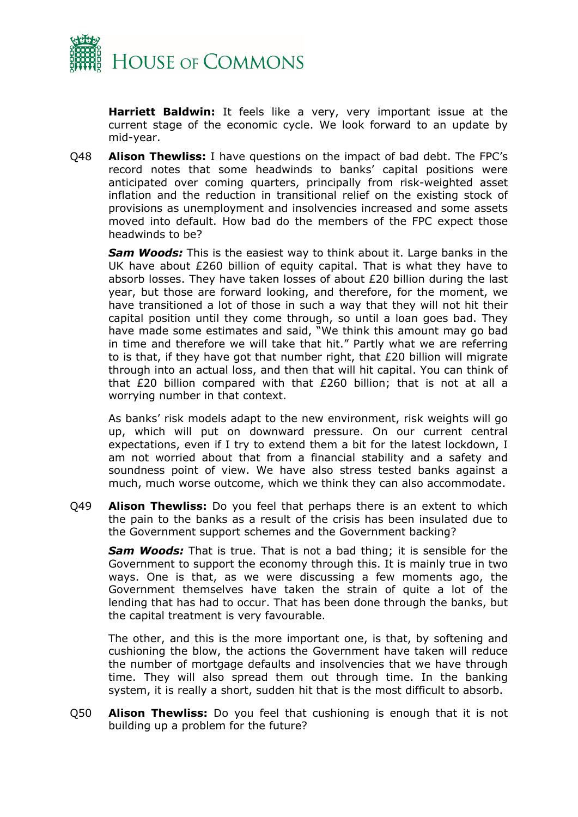

**Harriett Baldwin:** It feels like a very, very important issue at the current stage of the economic cycle. We look forward to an update by mid-year.

Q48 **Alison Thewliss:** I have questions on the impact of bad debt. The FPC's record notes that some headwinds to banks' capital positions were anticipated over coming quarters, principally from risk-weighted asset inflation and the reduction in transitional relief on the existing stock of provisions as unemployment and insolvencies increased and some assets moved into default. How bad do the members of the FPC expect those headwinds to be?

*Sam Woods:* This is the easiest way to think about it. Large banks in the UK have about £260 billion of equity capital. That is what they have to absorb losses. They have taken losses of about £20 billion during the last year, but those are forward looking, and therefore, for the moment, we have transitioned a lot of those in such a way that they will not hit their capital position until they come through, so until a loan goes bad. They have made some estimates and said, "We think this amount may go bad in time and therefore we will take that hit." Partly what we are referring to is that, if they have got that number right, that  $£20$  billion will migrate through into an actual loss, and then that will hit capital. You can think of that £20 billion compared with that £260 billion; that is not at all a worrying number in that context.

As banks' risk models adapt to the new environment, risk weights will go up, which will put on downward pressure. On our current central expectations, even if I try to extend them a bit for the latest lockdown, I am not worried about that from a financial stability and a safety and soundness point of view. We have also stress tested banks against a much, much worse outcome, which we think they can also accommodate.

Q49 **Alison Thewliss:** Do you feel that perhaps there is an extent to which the pain to the banks as a result of the crisis has been insulated due to the Government support schemes and the Government backing?

*Sam Woods:* That is true. That is not a bad thing; it is sensible for the Government to support the economy through this. It is mainly true in two ways. One is that, as we were discussing a few moments ago, the Government themselves have taken the strain of quite a lot of the lending that has had to occur. That has been done through the banks, but the capital treatment is very favourable.

The other, and this is the more important one, is that, by softening and cushioning the blow, the actions the Government have taken will reduce the number of mortgage defaults and insolvencies that we have through time. They will also spread them out through time. In the banking system, it is really a short, sudden hit that is the most difficult to absorb.

Q50 **Alison Thewliss:** Do you feel that cushioning is enough that it is not building up a problem for the future?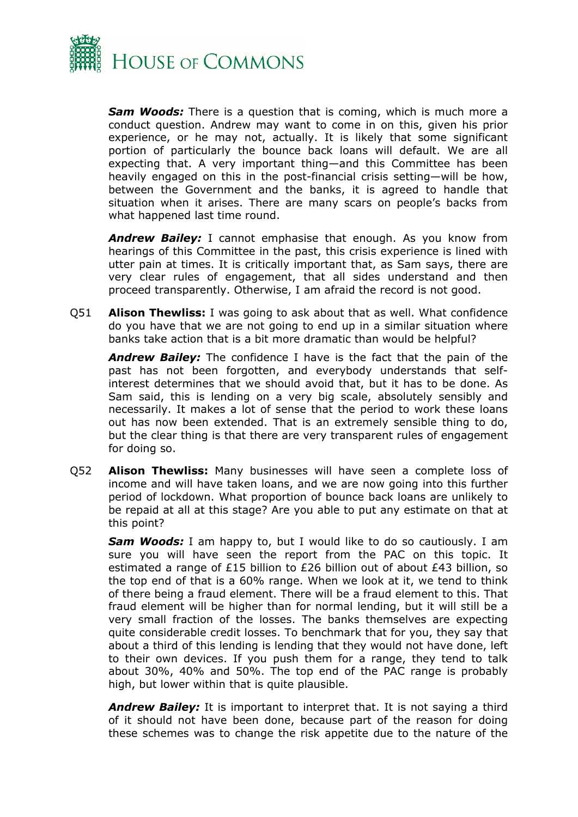

*Sam Woods:* There is a question that is coming, which is much more a conduct question. Andrew may want to come in on this, given his prior experience, or he may not, actually. It is likely that some significant portion of particularly the bounce back loans will default. We are all expecting that. A very important thing—and this Committee has been heavily engaged on this in the post-financial crisis setting—will be how, between the Government and the banks, it is agreed to handle that situation when it arises. There are many scars on people's backs from what happened last time round.

*Andrew Bailey:* I cannot emphasise that enough. As you know from hearings of this Committee in the past, this crisis experience is lined with utter pain at times. It is critically important that, as Sam says, there are very clear rules of engagement, that all sides understand and then proceed transparently. Otherwise, I am afraid the record is not good.

Q51 **Alison Thewliss:** I was going to ask about that as well. What confidence do you have that we are not going to end up in a similar situation where banks take action that is a bit more dramatic than would be helpful?

*Andrew Bailey:* The confidence I have is the fact that the pain of the past has not been forgotten, and everybody understands that selfinterest determines that we should avoid that, but it has to be done. As Sam said, this is lending on a very big scale, absolutely sensibly and necessarily. It makes a lot of sense that the period to work these loans out has now been extended. That is an extremely sensible thing to do, but the clear thing is that there are very transparent rules of engagement for doing so.

Q52 **Alison Thewliss:** Many businesses will have seen a complete loss of income and will have taken loans, and we are now going into this further period of lockdown. What proportion of bounce back loans are unlikely to be repaid at all at this stage? Are you able to put any estimate on that at this point?

*Sam Woods:* I am happy to, but I would like to do so cautiously. I am sure you will have seen the report from the PAC on this topic. It estimated a range of £15 billion to £26 billion out of about £43 billion, so the top end of that is a 60% range. When we look at it, we tend to think of there being a fraud element. There will be a fraud element to this. That fraud element will be higher than for normal lending, but it will still be a very small fraction of the losses. The banks themselves are expecting quite considerable credit losses. To benchmark that for you, they say that about a third of this lending is lending that they would not have done, left to their own devices. If you push them for a range, they tend to talk about 30%, 40% and 50%. The top end of the PAC range is probably high, but lower within that is quite plausible.

*Andrew Bailey:* It is important to interpret that. It is not saying a third of it should not have been done, because part of the reason for doing these schemes was to change the risk appetite due to the nature of the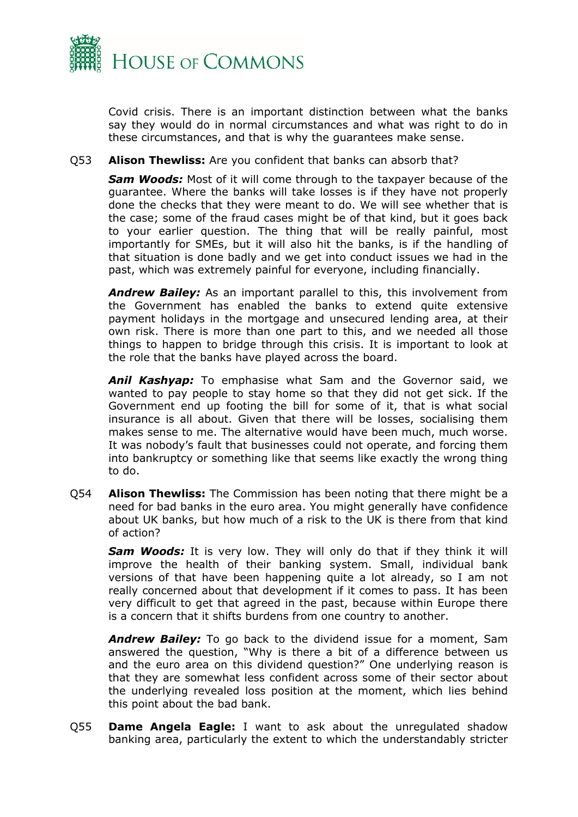

Covid crisis. There is an important distinction between what the banks say they would do in normal circumstances and what was right to do in these circumstances, and that is why the guarantees make sense.

## Q53 **Alison Thewliss:** Are you confident that banks can absorb that?

*Sam Woods:* Most of it will come through to the taxpayer because of the guarantee. Where the banks will take losses is if they have not properly done the checks that they were meant to do. We will see whether that is the case; some of the fraud cases might be of that kind, but it goes back to your earlier question. The thing that will be really painful, most importantly for SMEs, but it will also hit the banks, is if the handling of that situation is done badly and we get into conduct issues we had in the past, which was extremely painful for everyone, including financially.

*Andrew Bailey:* As an important parallel to this, this involvement from the Government has enabled the banks to extend quite extensive payment holidays in the mortgage and unsecured lending area, at their own risk. There is more than one part to this, and we needed all those things to happen to bridge through this crisis. It is important to look at the role that the banks have played across the board.

*Anil Kashyap:* To emphasise what Sam and the Governor said, we wanted to pay people to stay home so that they did not get sick. If the Government end up footing the bill for some of it, that is what social insurance is all about. Given that there will be losses, socialising them makes sense to me. The alternative would have been much, much worse. It was nobody's fault that businesses could not operate, and forcing them into bankruptcy or something like that seems like exactly the wrong thing to do.

Q54 **Alison Thewliss:** The Commission has been noting that there might be a need for bad banks in the euro area. You might generally have confidence about UK banks, but how much of a risk to the UK is there from that kind of action?

*Sam Woods:* It is very low. They will only do that if they think it will improve the health of their banking system. Small, individual bank versions of that have been happening quite a lot already, so I am not really concerned about that development if it comes to pass. It has been very difficult to get that agreed in the past, because within Europe there is a concern that it shifts burdens from one country to another.

*Andrew Bailey:* To go back to the dividend issue for a moment, Sam answered the question, "Why is there a bit of a difference between us and the euro area on this dividend question?" One underlying reason is that they are somewhat less confident across some of their sector about the underlying revealed loss position at the moment, which lies behind this point about the bad bank.

Q55 **Dame Angela Eagle:** I want to ask about the unregulated shadow banking area, particularly the extent to which the understandably stricter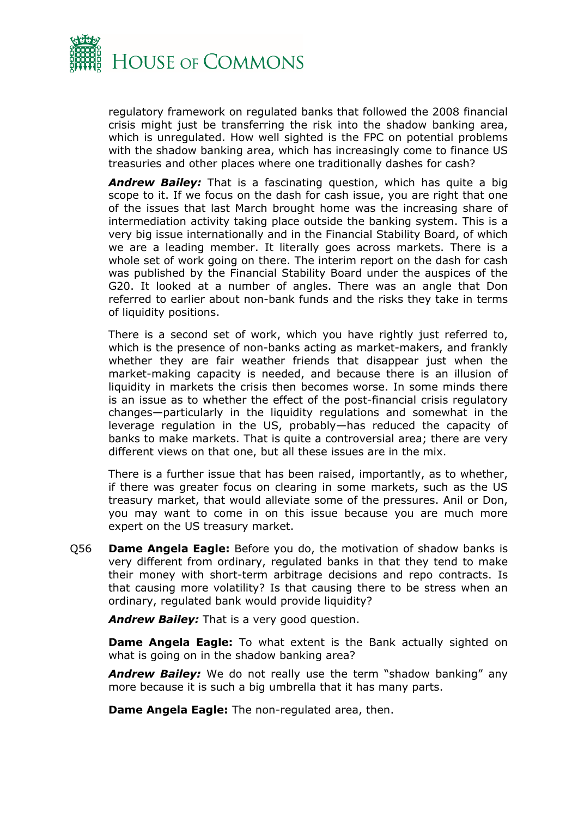

regulatory framework on regulated banks that followed the 2008 financial crisis might just be transferring the risk into the shadow banking area, which is unregulated. How well sighted is the FPC on potential problems with the shadow banking area, which has increasingly come to finance US treasuries and other places where one traditionally dashes for cash?

*Andrew Bailey:* That is a fascinating question, which has quite a big scope to it. If we focus on the dash for cash issue, you are right that one of the issues that last March brought home was the increasing share of intermediation activity taking place outside the banking system. This is a very big issue internationally and in the Financial Stability Board, of which we are a leading member. It literally goes across markets. There is a whole set of work going on there. The interim report on the dash for cash was published by the Financial Stability Board under the auspices of the G20. It looked at a number of angles. There was an angle that Don referred to earlier about non-bank funds and the risks they take in terms of liquidity positions.

There is a second set of work, which you have rightly just referred to, which is the presence of non-banks acting as market-makers, and frankly whether they are fair weather friends that disappear just when the market-making capacity is needed, and because there is an illusion of liquidity in markets the crisis then becomes worse. In some minds there is an issue as to whether the effect of the post-financial crisis regulatory changes—particularly in the liquidity regulations and somewhat in the leverage regulation in the US, probably—has reduced the capacity of banks to make markets. That is quite a controversial area; there are very different views on that one, but all these issues are in the mix.

There is a further issue that has been raised, importantly, as to whether, if there was greater focus on clearing in some markets, such as the US treasury market, that would alleviate some of the pressures. Anil or Don, you may want to come in on this issue because you are much more expert on the US treasury market.

Q56 **Dame Angela Eagle:** Before you do, the motivation of shadow banks is very different from ordinary, regulated banks in that they tend to make their money with short-term arbitrage decisions and repo contracts. Is that causing more volatility? Is that causing there to be stress when an ordinary, regulated bank would provide liquidity?

*Andrew Bailey:* That is a very good question.

**Dame Angela Eagle:** To what extent is the Bank actually sighted on what is going on in the shadow banking area?

*Andrew Bailey:* We do not really use the term "shadow banking" any more because it is such a big umbrella that it has many parts.

**Dame Angela Eagle:** The non-regulated area, then.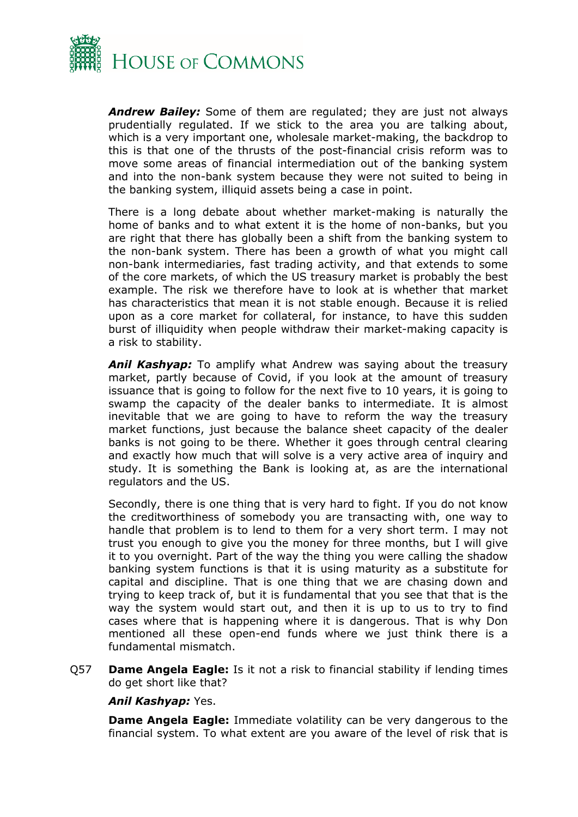

*Andrew Bailey:* Some of them are regulated; they are just not always prudentially regulated. If we stick to the area you are talking about, which is a very important one, wholesale market-making, the backdrop to this is that one of the thrusts of the post-financial crisis reform was to move some areas of financial intermediation out of the banking system and into the non-bank system because they were not suited to being in the banking system, illiquid assets being a case in point.

There is a long debate about whether market-making is naturally the home of banks and to what extent it is the home of non-banks, but you are right that there has globally been a shift from the banking system to the non-bank system. There has been a growth of what you might call non-bank intermediaries, fast trading activity, and that extends to some of the core markets, of which the US treasury market is probably the best example. The risk we therefore have to look at is whether that market has characteristics that mean it is not stable enough. Because it is relied upon as a core market for collateral, for instance, to have this sudden burst of illiquidity when people withdraw their market-making capacity is a risk to stability.

*Anil Kashyap:* To amplify what Andrew was saying about the treasury market, partly because of Covid, if you look at the amount of treasury issuance that is going to follow for the next five to 10 years, it is going to swamp the capacity of the dealer banks to intermediate. It is almost inevitable that we are going to have to reform the way the treasury market functions, just because the balance sheet capacity of the dealer banks is not going to be there. Whether it goes through central clearing and exactly how much that will solve is a very active area of inquiry and study. It is something the Bank is looking at, as are the international regulators and the US.

Secondly, there is one thing that is very hard to fight. If you do not know the creditworthiness of somebody you are transacting with, one way to handle that problem is to lend to them for a very short term. I may not trust you enough to give you the money for three months, but I will give it to you overnight. Part of the way the thing you were calling the shadow banking system functions is that it is using maturity as a substitute for capital and discipline. That is one thing that we are chasing down and trying to keep track of, but it is fundamental that you see that that is the way the system would start out, and then it is up to us to try to find cases where that is happening where it is dangerous. That is why Don mentioned all these open-end funds where we just think there is a fundamental mismatch.

Q57 **Dame Angela Eagle:** Is it not a risk to financial stability if lending times do get short like that?

### *Anil Kashyap:* Yes.

**Dame Angela Eagle:** Immediate volatility can be very dangerous to the financial system. To what extent are you aware of the level of risk that is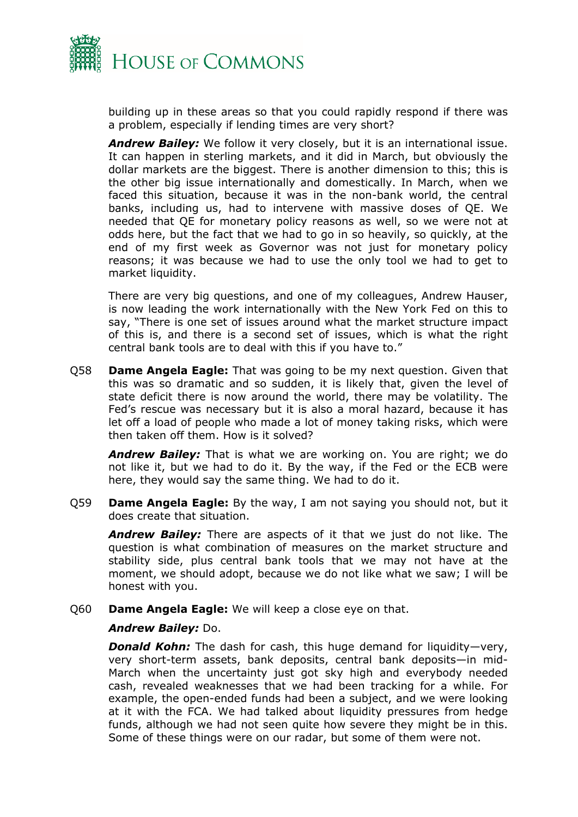

building up in these areas so that you could rapidly respond if there was a problem, especially if lending times are very short?

*Andrew Bailey:* We follow it very closely, but it is an international issue. It can happen in sterling markets, and it did in March, but obviously the dollar markets are the biggest. There is another dimension to this; this is the other big issue internationally and domestically. In March, when we faced this situation, because it was in the non-bank world, the central banks, including us, had to intervene with massive doses of QE. We needed that QE for monetary policy reasons as well, so we were not at odds here, but the fact that we had to go in so heavily, so quickly, at the end of my first week as Governor was not just for monetary policy reasons; it was because we had to use the only tool we had to get to market liquidity.

There are very big questions, and one of my colleagues, Andrew Hauser, is now leading the work internationally with the New York Fed on this to say, "There is one set of issues around what the market structure impact of this is, and there is a second set of issues, which is what the right central bank tools are to deal with this if you have to."

Q58 **Dame Angela Eagle:** That was going to be my next question. Given that this was so dramatic and so sudden, it is likely that, given the level of state deficit there is now around the world, there may be volatility. The Fed's rescue was necessary but it is also a moral hazard, because it has let off a load of people who made a lot of money taking risks, which were then taken off them. How is it solved?

*Andrew Bailey:* That is what we are working on. You are right; we do not like it, but we had to do it. By the way, if the Fed or the ECB were here, they would say the same thing. We had to do it.

Q59 **Dame Angela Eagle:** By the way, I am not saying you should not, but it does create that situation.

*Andrew Bailey:* There are aspects of it that we just do not like. The question is what combination of measures on the market structure and stability side, plus central bank tools that we may not have at the moment, we should adopt, because we do not like what we saw; I will be honest with you.

Q60 **Dame Angela Eagle:** We will keep a close eye on that.

### *Andrew Bailey:* Do.

*Donald Kohn:* The dash for cash, this huge demand for liquidity—very, very short-term assets, bank deposits, central bank deposits—in mid-March when the uncertainty just got sky high and everybody needed cash, revealed weaknesses that we had been tracking for a while. For example, the open-ended funds had been a subject, and we were looking at it with the FCA. We had talked about liquidity pressures from hedge funds, although we had not seen quite how severe they might be in this. Some of these things were on our radar, but some of them were not.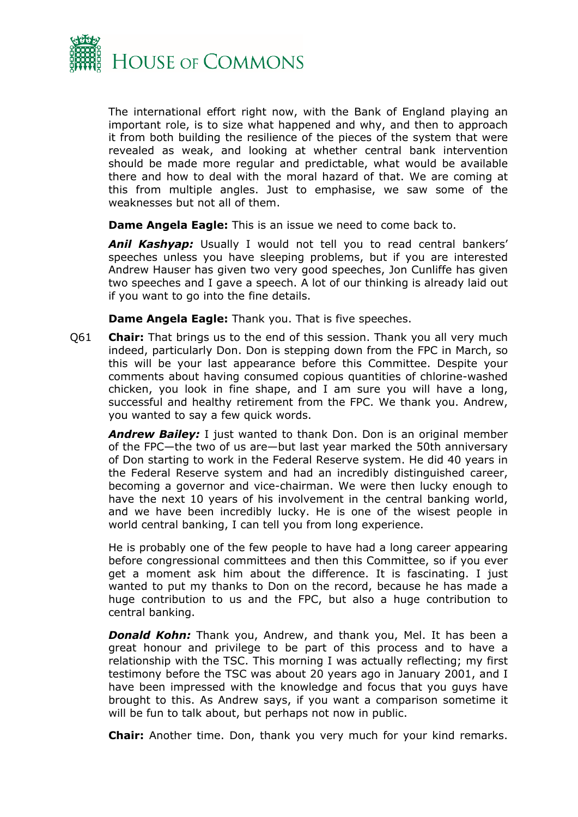

The international effort right now, with the Bank of England playing an important role, is to size what happened and why, and then to approach it from both building the resilience of the pieces of the system that were revealed as weak, and looking at whether central bank intervention should be made more regular and predictable, what would be available there and how to deal with the moral hazard of that. We are coming at this from multiple angles. Just to emphasise, we saw some of the weaknesses but not all of them.

**Dame Angela Eagle:** This is an issue we need to come back to.

*Anil Kashyap:* Usually I would not tell you to read central bankers' speeches unless you have sleeping problems, but if you are interested Andrew Hauser has given two very good speeches, Jon Cunliffe has given two speeches and I gave a speech. A lot of our thinking is already laid out if you want to go into the fine details.

**Dame Angela Eagle:** Thank you. That is five speeches.

Q61 **Chair:** That brings us to the end of this session. Thank you all very much indeed, particularly Don. Don is stepping down from the FPC in March, so this will be your last appearance before this Committee. Despite your comments about having consumed copious quantities of chlorine-washed chicken, you look in fine shape, and I am sure you will have a long, successful and healthy retirement from the FPC. We thank you. Andrew, you wanted to say a few quick words.

*Andrew Bailey:* I just wanted to thank Don. Don is an original member of the FPC—the two of us are—but last year marked the 50th anniversary of Don starting to work in the Federal Reserve system. He did 40 years in the Federal Reserve system and had an incredibly distinguished career, becoming a governor and vice-chairman. We were then lucky enough to have the next 10 years of his involvement in the central banking world, and we have been incredibly lucky. He is one of the wisest people in world central banking, I can tell you from long experience.

He is probably one of the few people to have had a long career appearing before congressional committees and then this Committee, so if you ever get a moment ask him about the difference. It is fascinating. I just wanted to put my thanks to Don on the record, because he has made a huge contribution to us and the FPC, but also a huge contribution to central banking.

*Donald Kohn:* Thank you, Andrew, and thank you, Mel. It has been a great honour and privilege to be part of this process and to have a relationship with the TSC. This morning I was actually reflecting; my first testimony before the TSC was about 20 years ago in January 2001, and I have been impressed with the knowledge and focus that you guys have brought to this. As Andrew says, if you want a comparison sometime it will be fun to talk about, but perhaps not now in public.

**Chair:** Another time. Don, thank you very much for your kind remarks.